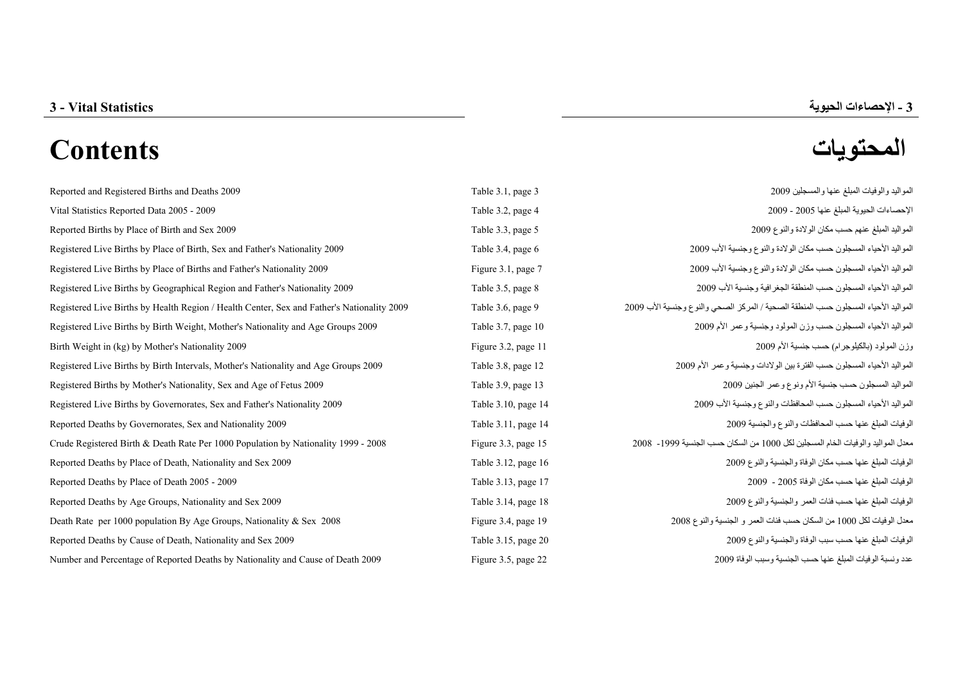# **المحتويات Contents**

| Reported and Registered Births and Deaths 2009                                             | Table 3.1, page 3   | المواليد والوفيات المبلغ عنها والمسجلين 2009                                        |
|--------------------------------------------------------------------------------------------|---------------------|-------------------------------------------------------------------------------------|
| Vital Statistics Reported Data 2005 - 2009                                                 | Table 3.2, page 4   | الإحصاءات الحيوية المبلغ عنها 2005 - 2009                                           |
| Reported Births by Place of Birth and Sex 2009                                             | Table 3.3, page 5   | المواليد المبلغ عنهم حسب مكان الولادة والنوع 2009                                   |
| Registered Live Births by Place of Birth, Sex and Father's Nationality 2009                | Table 3.4, page 6   | المواليد الأحياء المسجلون حسب مكان الولادة والنوع وجنسية الأب 2009                  |
| Registered Live Births by Place of Births and Father's Nationality 2009                    | Figure 3.1, page 7  | المواليد الأحياء المسجلون حسب مكان الولادة والنوع وجنسية الأب 2009                  |
| Registered Live Births by Geographical Region and Father's Nationality 2009                | Table 3.5, page 8   | المواليد الأحياء المسجلون حسب المنطقة الجغرافية وجنسية الأب 2009                    |
| Registered Live Births by Health Region / Health Center, Sex and Father's Nationality 2009 | Table 3.6, page 9   | المواليد الأحياء المسجلون حسب المنطقة الصحية / المركز الصحي والنوع وجنسية الأب 2009 |
| Registered Live Births by Birth Weight, Mother's Nationality and Age Groups 2009           | Table 3.7, page 10  | المواليد الأحياء المسجلون حسب وزن المولود وجنسية وعمر الأم 2009                     |
| Birth Weight in (kg) by Mother's Nationality 2009                                          | Figure 3.2, page 11 | وزن المولود (بالكيلوجرام) حسب جنسية الأم 2009                                       |
| Registered Live Births by Birth Intervals, Mother's Nationality and Age Groups 2009        | Table 3.8, page 12  | المواليد الأحياء المسجلون حسب الفترة بين الولادات وجنسية وعمر الأم 2009             |
| Registered Births by Mother's Nationality, Sex and Age of Fetus 2009                       | Table 3.9, page 13  | المواليد المسجلون حسب جنسية الأم ونوع وعمر الجنين 2009                              |
| Registered Live Births by Governorates, Sex and Father's Nationality 2009                  | Table 3.10, page 14 | المواليد الأحياء المسجلون حسب المحافظات والنوع وجنسية الأب 2009                     |
| Reported Deaths by Governorates, Sex and Nationality 2009                                  | Table 3.11, page 14 | الوفيات المبلغ عنها حسب المحافظات والنوع والجنسية 2009                              |
| Crude Registered Birth & Death Rate Per 1000 Population by Nationality 1999 - 2008         | Figure 3.3, page 15 | معدل المواليد والوفيات الخام المسجلين لكل 1000 من السكان حسب الجنسية 1999- 2008     |
| Reported Deaths by Place of Death, Nationality and Sex 2009                                | Table 3.12, page 16 | الوفيات المبلغ عنها حسب مكان الوفاة والجنسية والنوع 2009                            |
| Reported Deaths by Place of Death 2005 - 2009                                              | Table 3.13, page 17 | الوفيات المبلغ عنها حسب مكان الوفاة 2005 - 2009                                     |
| Reported Deaths by Age Groups, Nationality and Sex 2009                                    | Table 3.14, page 18 | الوفيات المبلغ عنها حسب فئات العمر والجنسية والنوع 2009                             |
| Death Rate per 1000 population By Age Groups, Nationality & Sex 2008                       | Figure 3.4, page 19 | معدل الوفيات لكل 1000 من السكان حسب فئات العمر و الجنسية والنوع 2008                |
| Reported Deaths by Cause of Death, Nationality and Sex 2009                                | Table 3.15, page 20 | الوفيات المبلغ عنها حسب سبب الوفاة والجنسية والنوع 2009                             |
| Number and Percentage of Reported Deaths by Nationality and Cause of Death 2009            | Figure 3.5, page 22 | عدد ونسبة الوفيات المبلغ عنها حسب الجنسية وسبب الوفاة 2009                          |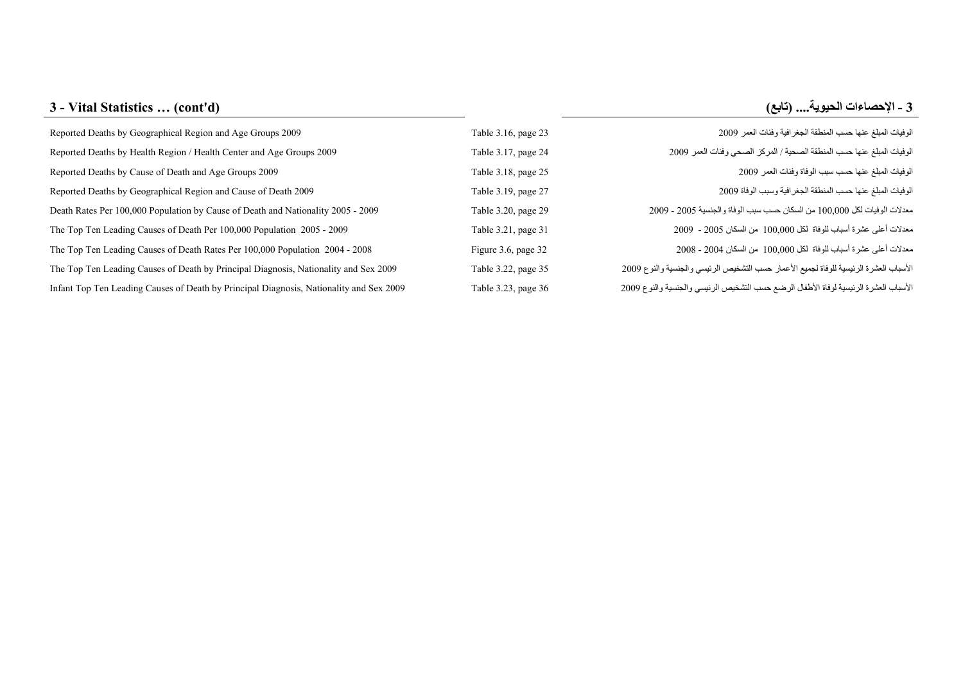### **3 - Vital Statistics … (cont'd) 3 (تابع (....الحيوية الإحصاءات -**

| Reported Deaths by Geographical Region and Age Groups 2009                              | Table 3.16, page 23 | الوفيات المبلغ عنها حسب المنطقة الجغرافية وفئات العمر 2009                            |
|-----------------------------------------------------------------------------------------|---------------------|---------------------------------------------------------------------------------------|
| Reported Deaths by Health Region / Health Center and Age Groups 2009                    | Table 3.17, page 24 | الوفيات المبلغ عنها حسب المنطقة الصحية / المركز الصحي وفئات العمر 2009                |
| Reported Deaths by Cause of Death and Age Groups 2009                                   | Table 3.18, page 25 | الوفيات المبلغ عنها حسب سبب الوفاة وفئات العمر 2009                                   |
| Reported Deaths by Geographical Region and Cause of Death 2009                          | Table 3.19, page 27 | الوفيات المبلغ عنها حسب المنطقة الجغرافية وسبب الوفاة 2009                            |
| Death Rates Per 100,000 Population by Cause of Death and Nationality 2005 - 2009        | Table 3.20, page 29 | معدلات الوفيات لكل 100,000 من السكان حسب سبب الوفاة والجنسية 2005 - 2009              |
| The Top Ten Leading Causes of Death Per 100,000 Population 2005 - 2009                  | Table 3.21, page 31 | معدلات أعلى عشرة أسباب للوفاة لكل 100,000 من السكان 2005 - 2009                       |
| The Top Ten Leading Causes of Death Rates Per 100,000 Population 2004 - 2008            | Figure 3.6, page 32 | معدلات أعلى عشرة أسباب للوفاة لكل 100,000 من السكان 2004 - 2008                       |
| The Top Ten Leading Causes of Death by Principal Diagnosis, Nationality and Sex 2009    | Table 3.22, page 35 | الأسباب العشرة الرئيسية للوفاة لجميع الأعمار حسب التشخيص الرئيسي والجنسية والنوع 2009 |
| Infant Top Ten Leading Causes of Death by Principal Diagnosis, Nationality and Sex 2009 | Table 3.23, page 36 | الأسباب العشرة الرئيسية لوفاة الأطفال الرضع حسب التشخيص الرئيسي والجنسية والنوع 2009  |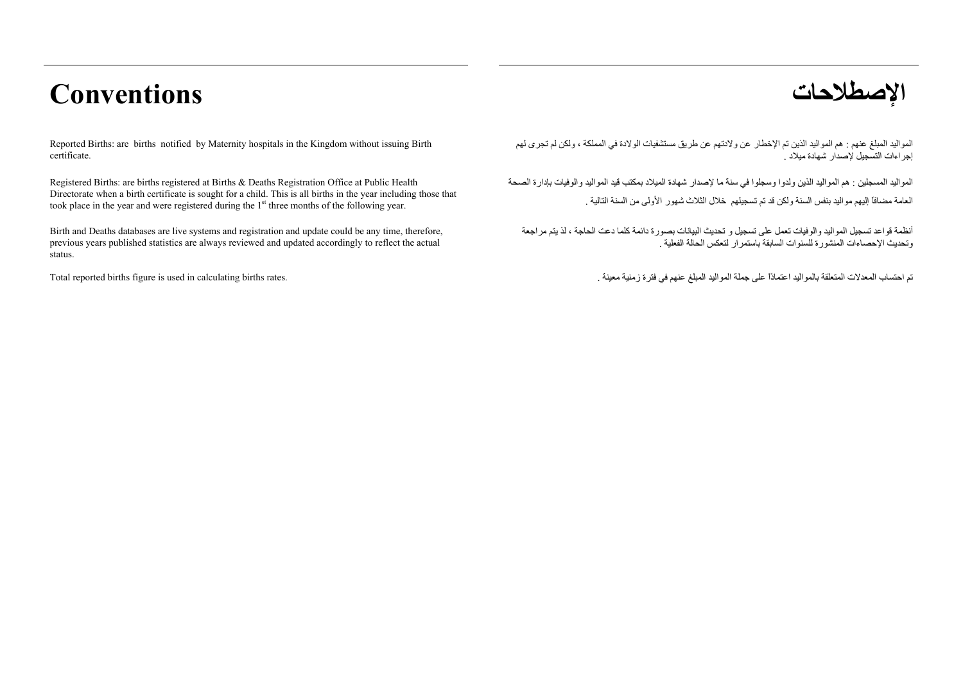## **الإصطلاحات Conventions**

Reported Births: are births notified by Maternity hospitals in the Kingdom without issuing Birth certificate.

Registered Births: are births registered at Births & Deaths Registration Office at Public Health Directorate when a birth certificate is sought for a child. This is all births in the year including those that took place in the year and were registered during the 1<sup>st</sup> three months of the following year.

Birth and Deaths databases are live systems and registration and update could be any time, therefore, previous years published statistics are always reviewed and updated accordingly to reflect the actual status.

المواليد المبلغ عنهم : هم المواليد الذين تم الإخطار عن ولادتهم عن طريق مستشفيات الولادة في المملكة ، ولكن لم تجرى لهم إجراءات التسجيل لإصدار شهادة ميلاد .

المواليد المسجلين : هم المواليد الذين ولدوا وسجلوا في سنة ما لإصدار شهادة الميلاد بمكتب قيد المواليد والوفيات بإدارة الصحة العامة مضافاً إليهم مواليد بنفس السنة ولكن قد تم تسجيلهم خلال الثلاث شهور الأولى من السنة التالية .

أنظمة قواعد تسجيل المواليد والوفيات تعمل على تسجيل <sup>و</sup> تحديث البيانات بصورة دائمة آلما دعت الحاجة ، لذ يتم مراجعة وتحديث الإحصاءات المنشورة للسنوات السابقة باستمرار لتعكس الحالة الفعلية .

تم احتساب المعدلات المتعلقة بالمواليد اعتمادًا على جملة المواليد المبلغ عنهم في فترة زمنية معينة . . . . . . .<br>تم احتساب المعدلات المتعلقة بالمواليد اعتمادًا على جملة المواليد المبلغ عنهم في فترة زمنية معينة . . . . . . .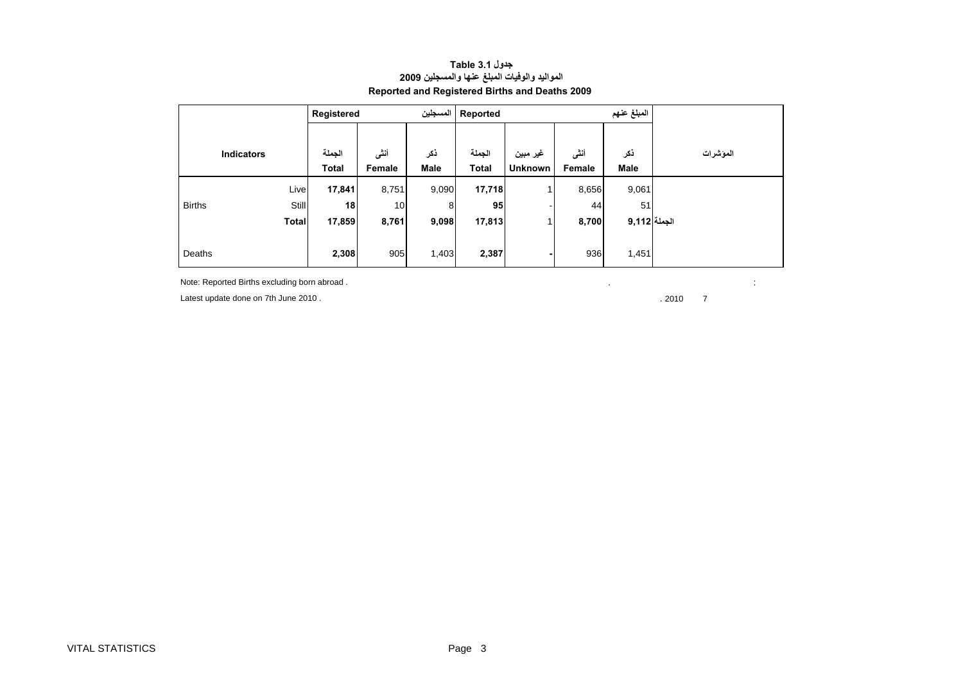### <span id="page-3-0"></span>**المبلغ عنهم Reported المسجلين Registered ذآر أنثى غير مبين الجملة ذآر أنثى الجملة Total Female Male Total Unknown Female Male**Live **17,841** 8,751 9,090 **17,718** 1 8,656 9,061 Births **Still 18** 10 8 **95** - 44 51 **الجملة 9,112 8,700** <sup>1</sup> **17,813 9,098 8,761 17,859 Total** Deaths **2,308** 905 1,403 **2,387 -** 936 1,451 **المؤشرات Indicators**

#### **جدول 3.1 Table المواليد والوفيات المبلغ عنها والمسجلين <sup>2009</sup> Reported and Registered Births and Deaths 2009**

Note: Reported Births excluding born abroad . . :

Latest update done on 7th June 2010 . . 2010 7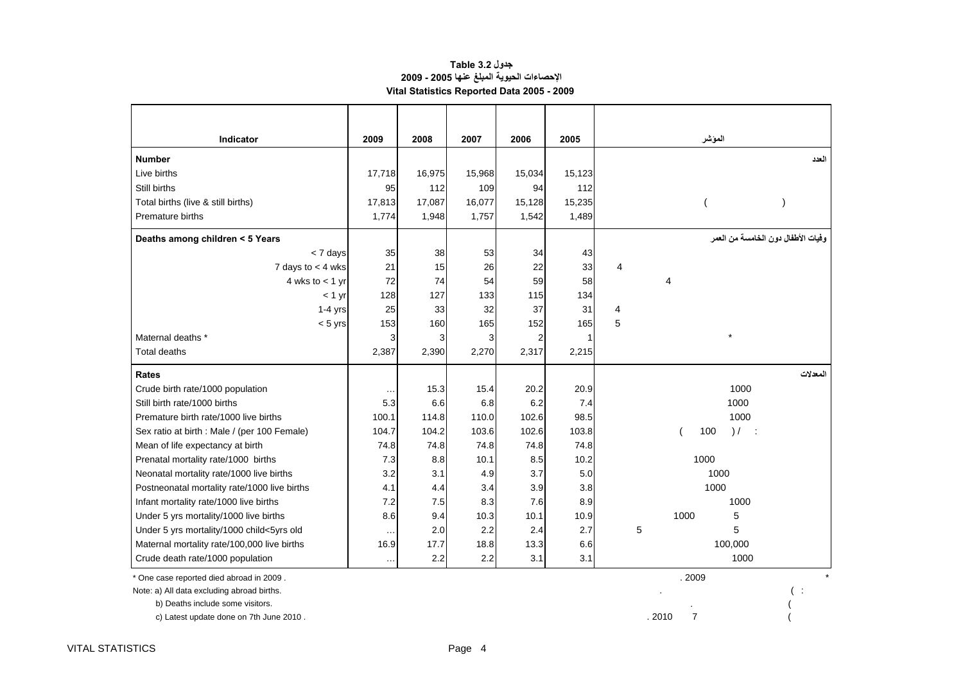#### **جدول 3.2 Table الإحصاءات الحيوية المبلغ عنها 2005 - 2009 Vital Statistics Reported Data 2005 - 2009**

| <b>Indicator</b>                             | 2009      | 2008   | 2007   | 2006   | 2005   |   | المؤشر                   |         |                                      |
|----------------------------------------------|-----------|--------|--------|--------|--------|---|--------------------------|---------|--------------------------------------|
| <b>Number</b>                                |           |        |        |        |        |   |                          |         | العدد                                |
| Live births                                  | 17,718    | 16,975 | 15,968 | 15,034 | 15,123 |   |                          |         |                                      |
| Still births                                 | 95        | 112    | 109    | 94     | 112    |   |                          |         |                                      |
| Total births (live & still births)           | 17,813    | 17,087 | 16,077 | 15,128 | 15,235 |   |                          |         |                                      |
| Premature births                             | 1,774     | 1,948  | 1,757  | 1,542  | 1,489  |   |                          |         |                                      |
| Deaths among children < 5 Years              |           |        |        |        |        |   |                          |         | و فيات الأطفال دو ن الخامسة من العمر |
| < 7 days                                     | 35        | 38     | 53     | 34     | 43     |   |                          |         |                                      |
| 7 days to $<$ 4 wks                          | 21        | 15     | 26     | 22     | 33     | 4 |                          |         |                                      |
| 4 wks to $<$ 1 yr                            | 72        | 74     | 54     | 59     | 58     |   | $\overline{4}$           |         |                                      |
| $<$ 1 yr                                     | 128       | 127    | 133    | 115    | 134    |   |                          |         |                                      |
| $1-4$ yrs                                    | 25        | 33     | 32     | 37     | 31     | 4 |                          |         |                                      |
| $< 5$ yrs                                    | 153       | 160    | 165    | 152    | 165    | 5 |                          |         |                                      |
| Maternal deaths *                            | 3         | 3      | 3      | 2      |        |   |                          |         |                                      |
| <b>Total deaths</b>                          | 2,387     | 2,390  | 2,270  | 2,317  | 2,215  |   |                          |         |                                      |
| <b>Rates</b>                                 |           |        |        |        |        |   |                          |         | المعدلات                             |
| Crude birth rate/1000 population             | $\sim$    | 15.3   | 15.4   | 20.2   | 20.9   |   |                          | 1000    |                                      |
| Still birth rate/1000 births                 | 5.3       | 6.6    | 6.8    | 6.2    | 7.4    |   |                          | 1000    |                                      |
| Premature birth rate/1000 live births        | 100.1     | 114.8  | 110.0  | 102.6  | 98.5   |   |                          | 1000    |                                      |
| Sex ratio at birth : Male / (per 100 Female) | 104.7     | 104.2  | 103.6  | 102.6  | 103.8  |   | 100                      | ) /     |                                      |
| Mean of life expectancy at birth             | 74.8      | 74.8   | 74.8   | 74.8   | 74.8   |   |                          |         |                                      |
| Prenatal mortality rate/1000 births          | 7.3       | 8.8    | 10.1   | 8.5    | 10.2   |   | 1000                     |         |                                      |
| Neonatal mortality rate/1000 live births     | 3.2       | 3.1    | 4.9    | 3.7    | 5.0    |   |                          | 1000    |                                      |
| Postneonatal mortality rate/1000 live births | 4.1       | 4.4    | 3.4    | 3.9    | 3.8    |   |                          | 1000    |                                      |
| Infant mortality rate/1000 live births       | 7.2       | 7.5    | 8.3    | 7.6    | 8.9    |   |                          | 1000    |                                      |
| Under 5 yrs mortality/1000 live births       | 8.6       | 9.4    | 10.3   | 10.1   | 10.9   |   | 1000                     | 5       |                                      |
| Under 5 yrs mortality/1000 child<5yrs old    | $\sim$    | 2.0    | 2.2    | 2.4    | 2.7    | 5 |                          | 5       |                                      |
| Maternal mortality rate/100,000 live births  | 16.9      | 17.7   | 18.8   | 13.3   | 6.6    |   |                          | 100,000 |                                      |
| Crude death rate/1000 population             | $\ddotsc$ | 2.2    | 2.2    | 3.1    | 3.1    |   |                          | 1000    |                                      |
| * One case reported died abroad in 2009.     |           |        |        |        |        |   | .2009                    |         |                                      |
| Note: a) All data excluding abroad births.   |           |        |        |        |        |   |                          |         |                                      |
| b) Deaths include some visitors.             |           |        |        |        |        |   |                          |         |                                      |
| c) Latest update done on 7th June 2010.      |           |        |        |        |        |   | $\overline{7}$<br>. 2010 |         |                                      |

 $\mathbf{r}$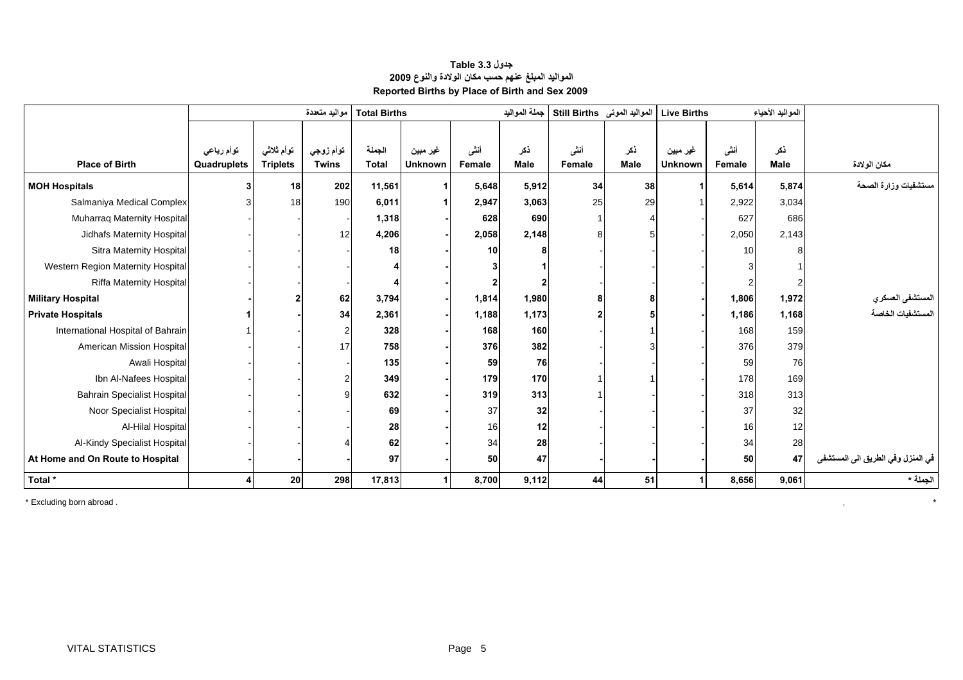<span id="page-5-0"></span>

|                                    | مواليد متعددة             |                               |                           | <b>Total Births</b>    |                            |                | جملة المواليد      | المواليد الموتى Still Births |                    | المواليد الأحياء<br><b>Live Births</b> |                |                    |                                   |
|------------------------------------|---------------------------|-------------------------------|---------------------------|------------------------|----------------------------|----------------|--------------------|------------------------------|--------------------|----------------------------------------|----------------|--------------------|-----------------------------------|
| <b>Place of Birth</b>              | توأم رباعي<br>Quadruplets | توأم ثلاثي<br><b>Triplets</b> | توأم زوجي<br><b>Twins</b> | الجملة<br><b>Total</b> | غير مبين<br><b>Unknown</b> | أنشى<br>Female | ذكر<br><b>Male</b> | أنشى<br>Female               | ذكر<br><b>Male</b> | غير مبين<br><b>Unknown</b>             | أننى<br>Female | ذكر<br><b>Male</b> | مكان الولادة                      |
| <b>MOH Hospitals</b>               |                           | 18                            | 202                       | 11,561                 |                            | 5,648          | 5,912              | 34                           | 38                 |                                        | 5,614          | 5,874              | مستشفيات وزارة الصحة              |
| Salmaniya Medical Complex          |                           | 18                            | 190                       | 6,011                  |                            | 2,947          | 3,063              | 25                           | 29                 |                                        | 2,922          | 3,034              |                                   |
| Muharraq Maternity Hospital        |                           |                               |                           | 1,318                  |                            | 628            | 690                |                              |                    |                                        | 627            | 686                |                                   |
| Jidhafs Maternity Hospital         |                           |                               | 12                        | 4,206                  |                            | 2,058          | 2,148              |                              |                    |                                        | 2,050          | 2,143              |                                   |
| Sitra Maternity Hospital           |                           |                               |                           | 18                     |                            | 10             |                    |                              |                    |                                        | 10             |                    |                                   |
| Western Region Maternity Hospital  |                           |                               |                           |                        |                            |                |                    |                              |                    |                                        |                |                    |                                   |
| <b>Riffa Maternity Hospital</b>    |                           |                               |                           |                        |                            | 2              |                    |                              |                    |                                        |                |                    |                                   |
| <b>Military Hospital</b>           |                           |                               | 62                        | 3,794                  |                            | 1,814          | 1,980              |                              | 8                  |                                        | 1,806          | 1,972              | المستشفى العسكر ي                 |
| <b>Private Hospitals</b>           |                           |                               | 34                        | 2,361                  |                            | 1,188          | 1,173              |                              |                    |                                        | 1,186          | 1,168              | المستشفيات الخاصة                 |
| International Hospital of Bahrain  |                           |                               |                           | 328                    |                            | 168            | 160                |                              |                    |                                        | 168            | 159                |                                   |
| American Mission Hospital          |                           |                               | 17                        | 758                    |                            | 376            | 382                |                              |                    |                                        | 376            | 379                |                                   |
| Awali Hospital                     |                           |                               |                           | 135                    |                            | 59             | 76                 |                              |                    |                                        | 59             | 76                 |                                   |
| Ibn Al-Nafees Hospital             |                           |                               |                           | 349                    |                            | 179            | 170                |                              |                    |                                        | 178            | 169                |                                   |
| <b>Bahrain Specialist Hospital</b> |                           |                               |                           | 632                    |                            | 319            | 313                |                              |                    |                                        | 318            | 313                |                                   |
| Noor Specialist Hospital           |                           |                               |                           | 69                     |                            | 37             | 32                 |                              |                    |                                        | 37             | 32                 |                                   |
| Al-Hilal Hospital                  |                           |                               |                           | 28                     |                            | 16             | 12                 |                              |                    |                                        | 16             | 12                 |                                   |
| Al-Kindy Specialist Hospital       |                           |                               |                           | 62                     |                            | 34             | 28                 |                              |                    |                                        | 34             | 28                 |                                   |
| At Home and On Route to Hospital   |                           |                               |                           | 97                     |                            | 50             | 47                 |                              |                    |                                        | 50             | 47                 | في المنزل وفي الطريق الى المستشفى |
| Total *                            |                           | 20                            | 298                       | 17,813                 |                            | 8,700          | 9,112              | 44                           | 51                 |                                        | 8,656          | 9,061              | الجملة *                          |

#### **جدول 3.3 Table المواليد المبلغ عنهم حسب مكان الولادة والنوع <sup>2009</sup> Reported Births by Place of Birth and Sex 2009**

\* Excluding born abroad . . \*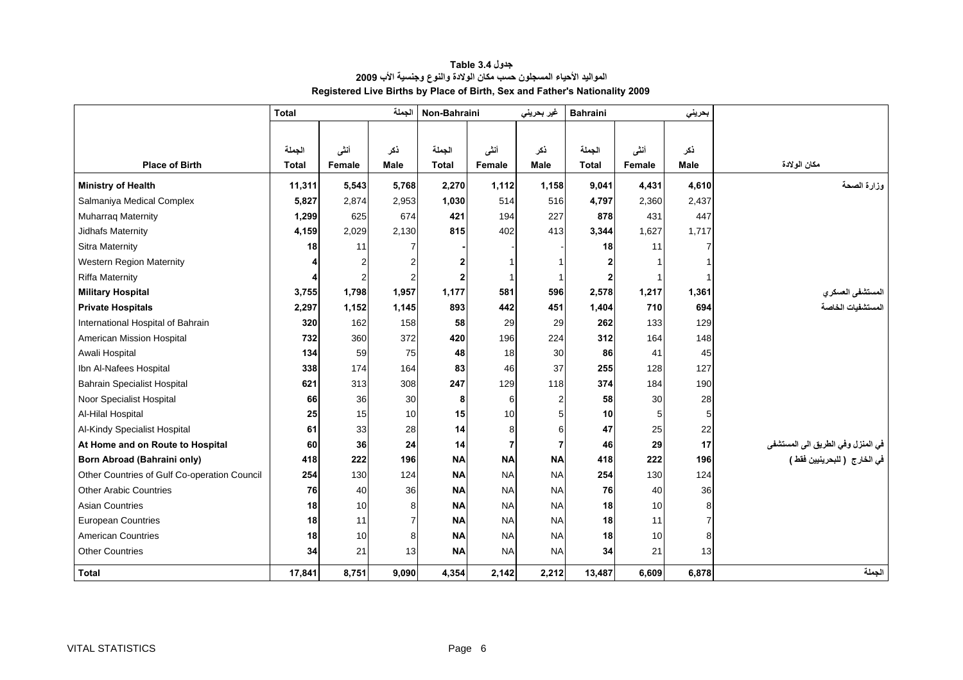<span id="page-6-0"></span>

|                                              | <b>Total</b> |                | الجملة         | Non-Bahraini |                | غير بحريني     | <b>Bahraini</b> |        | بحريني         |                                                                      |
|----------------------------------------------|--------------|----------------|----------------|--------------|----------------|----------------|-----------------|--------|----------------|----------------------------------------------------------------------|
|                                              |              |                |                |              |                |                |                 |        |                |                                                                      |
|                                              | الجملة       | أنشى           | ذكر            | الجملة       | أننى           | ذكر            | الجملة          | أننى   | ذكر            |                                                                      |
| <b>Place of Birth</b>                        | <b>Total</b> | Female         | <b>Male</b>    | Total        | Female         | Male           | <b>Total</b>    | Female | <b>Male</b>    | مكان الولادة                                                         |
| <b>Ministry of Health</b>                    | 11,311       | 5,543          | 5,768          | 2,270        | 1,112          | 1,158          | 9,041           | 4,431  | 4,610          | وزارة الصحة                                                          |
| Salmaniya Medical Complex                    | 5,827        | 2,874          | 2,953          | 1,030        | 514            | 516            | 4,797           | 2,360  | 2,437          |                                                                      |
| <b>Muharraq Maternity</b>                    | 1,299        | 625            | 674            | 421          | 194            | 227            | 878             | 431    | 447            |                                                                      |
| Jidhafs Maternity                            | 4,159        | 2,029          | 2,130          | 815          | 402            | 413            | 3,344           | 1,627  | 1,717          |                                                                      |
| <b>Sitra Maternity</b>                       | 18           | 11             | 7              |              |                |                | 18              | 11     |                |                                                                      |
| <b>Western Region Maternity</b>              |              | $\overline{2}$ | $\overline{2}$ |              | 1              |                |                 |        |                |                                                                      |
| <b>Riffa Maternity</b>                       |              | $\overline{2}$ | $\overline{2}$ |              | -1             | $\overline{1}$ |                 |        |                |                                                                      |
| <b>Military Hospital</b>                     | 3,755        | 1,798          | 1,957          | 1,177        | 581            | 596            | 2,578           | 1,217  | 1,361          | المستشفى العسكر ي                                                    |
| <b>Private Hospitals</b>                     | 2,297        | 1,152          | 1,145          | 893          | 442            | 451            | 1,404           | 710    | 694            | المستشفيات الخاصة                                                    |
| International Hospital of Bahrain            | 320          | 162            | 158            | 58           | 29             | 29             | 262             | 133    | 129            |                                                                      |
| American Mission Hospital                    | 732          | 360            | 372            | 420          | 196            | 224            | 312             | 164    | 148            |                                                                      |
| Awali Hospital                               | 134          | 59             | 75             | 48           | 18             | 30             | 86              | 41     | 45             |                                                                      |
| Ibn Al-Nafees Hospital                       | 338          | 174            | 164            | 83           | 46             | 37             | 255             | 128    | 127            |                                                                      |
| <b>Bahrain Specialist Hospital</b>           | 621          | 313            | 308            | 247          | 129            | 118            | 374             | 184    | 190            |                                                                      |
| Noor Specialist Hospital                     | 66           | 36             | 30             | -8           | 6              | 2              | 58              | 30     | 28             |                                                                      |
| Al-Hilal Hospital                            | 25           | 15             | 10             | 15           | 10             | 5              | 10 <sup>1</sup> | 5      | 5              |                                                                      |
| Al-Kindy Specialist Hospital                 | 61           | 33             | 28             | 14           | 8              | 6              | 47              | 25     | 22             |                                                                      |
| At Home and on Route to Hospital             | 60           | 36             | 24             | 14           | $\overline{7}$ | $\overline{7}$ | 46              | 29     | 17             |                                                                      |
| Born Abroad (Bahraini only)                  | 418          | 222            | 196            | <b>NA</b>    | <b>NA</b>      | <b>NA</b>      | 418             | 222    | 196            | ِ في المنزل وفي الطريق الى المستشفى<br>في الخارج  ( للبحرينيين فقط ) |
| Other Countries of Gulf Co-operation Council | 254          | 130            | 124            | <b>NA</b>    | <b>NA</b>      | <b>NA</b>      | 254             | 130    | 124            |                                                                      |
| <b>Other Arabic Countries</b>                | 76           | 40             | 36             | <b>NA</b>    | <b>NA</b>      | <b>NA</b>      | 76              | 40     | 36             |                                                                      |
| <b>Asian Countries</b>                       | 18           | 10             | 8              | <b>NA</b>    | <b>NA</b>      | <b>NA</b>      | 18              | 10     | 8              |                                                                      |
| <b>European Countries</b>                    | 18           | 11             | 7              | <b>NA</b>    | <b>NA</b>      | <b>NA</b>      | 18              | 11     | $\overline{7}$ |                                                                      |
| <b>American Countries</b>                    | 18           | 10             | 8              | <b>NA</b>    | <b>NA</b>      | <b>NA</b>      | 18              | 10     | 8              |                                                                      |
| <b>Other Countries</b>                       | 34           | 21             | 13             | <b>NA</b>    | <b>NA</b>      | <b>NA</b>      | 34              | 21     | 13             |                                                                      |
| <b>Total</b>                                 | 17,841       | 8,751          | 9,090          | 4,354        | 2,142          | 2,212          | 13,487          | 6,609  | 6,878          | الجملة                                                               |

#### **جدول 3.4 Table المواليد الأحياء المسجلون حسب مكان الولادة والنوع وجنسية الأب <sup>2009</sup> Registered Live Births by Place of Birth, Sex and Father's Nationality 2009**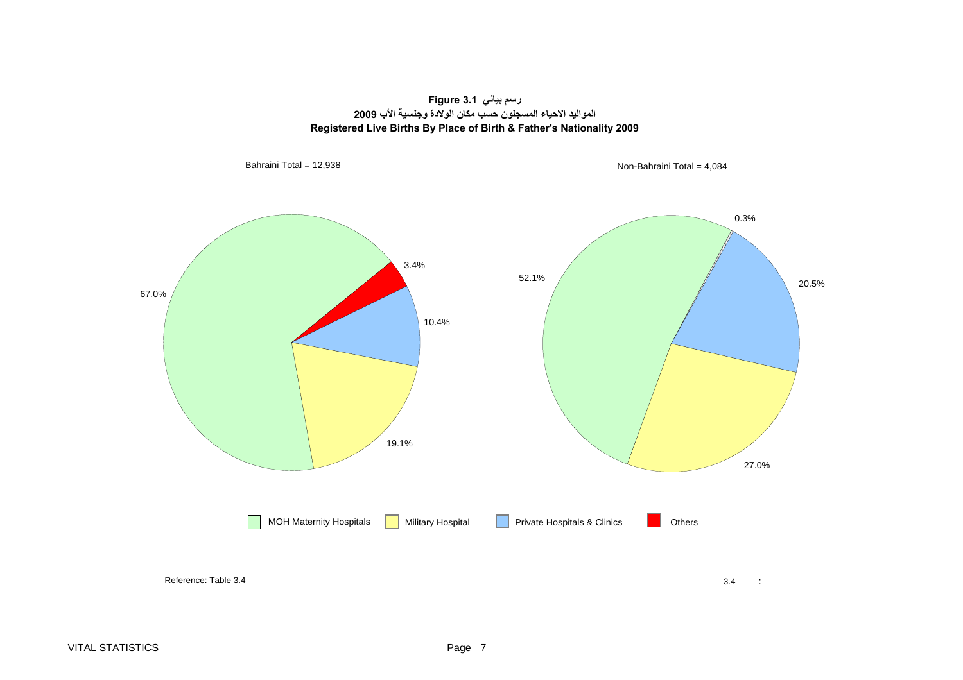**رسم بياني 3.1 Figure المواليد الاحياء المسجلون حسب مكان الولادة وجنسية الأب <sup>2009</sup> Registered Live Births By Place of Birth & Father's Nationality 2009**

<span id="page-7-0"></span>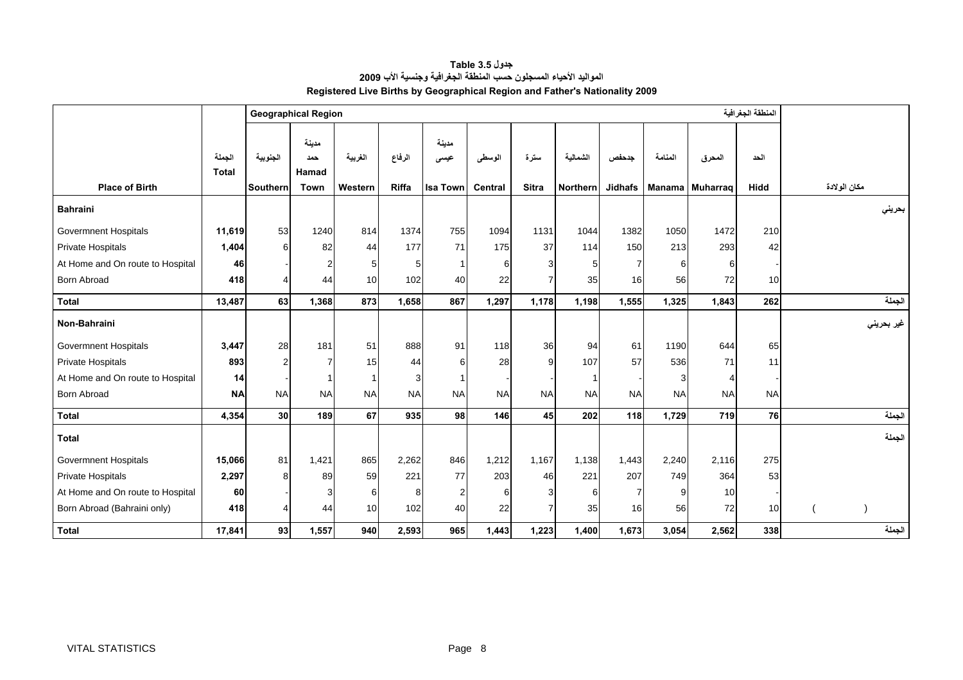**جدول 3.5 Table المواليد الأحياء المسجلون حسب المنطقة الجغرافية وجنسية الأب <sup>2009</sup> Registered Live Births by Geographical Region and Father's Nationality 2009**

<span id="page-8-0"></span>

|                                  |                        |                | <b>Geographical Region</b>   |           |           |                 |                |              |                 |                |           | المنطقة الجغرافية |                 |              |
|----------------------------------|------------------------|----------------|------------------------------|-----------|-----------|-----------------|----------------|--------------|-----------------|----------------|-----------|-------------------|-----------------|--------------|
|                                  | الجملة<br><b>Total</b> | الجنوبية       | مدينة<br>حمد<br><b>Hamad</b> | الغربية   | الرفاع    | مدينة<br>عيسى   | الوسطى         | سترة         | الشمالية        | جدحفص          | المنامة   | المحرق            | الحد            |              |
| <b>Place of Birth</b>            |                        | Southern       | <b>Town</b>                  | Western   | Riffa     | <b>Isa Town</b> | <b>Central</b> | <b>Sitra</b> | <b>Northern</b> | <b>Jidhafs</b> |           | Manama Muharrag   | <b>Hidd</b>     | مكان الولادة |
| <b>Bahraini</b>                  |                        |                |                              |           |           |                 |                |              |                 |                |           |                   |                 | بحرينى       |
| Govermnent Hospitals             | 11,619                 | 53             | 1240                         | 814       | 1374      | 755             | 1094           | 1131         | 1044            | 1382           | 1050      | 1472              | 210             |              |
| Private Hospitals                | 1,404                  | 6              | 82                           | 44        | 177       | 71              | 175            | 37           | 114             | 150            | 213       | 293               | 42              |              |
| At Home and On route to Hospital | 46                     |                | $\overline{2}$               | 5         |           |                 | 6              |              | 5               | 7              | 6         | 6                 |                 |              |
| <b>Born Abroad</b>               | 418                    |                | 44                           | 10        | 102       | 40              | 22             |              | 35              | 16             | 56        | 72                | 10 <sup>1</sup> |              |
| <b>Total</b>                     | 13,487                 | 63             | 1,368                        | 873       | 1,658     | 867             | 1,297          | 1,178        | 1,198           | 1,555          | 1,325     | 1,843             | 262             | الجملة       |
| Non-Bahraini                     |                        |                |                              |           |           |                 |                |              |                 |                |           |                   |                 | غير بحريني   |
| <b>Govermnent Hospitals</b>      | 3,447                  | 28             | 181                          | 51        | 888       | 91              | 118            | 36           | 94              | 61             | 1190      | 644               | 65              |              |
| Private Hospitals                | 893                    | $\overline{2}$ | 7                            | 15        | 44        | 6               | 28             |              | 107             | 57             | 536       | 71                | 11              |              |
| At Home and On route to Hospital | 14                     |                |                              | 1         | 3         |                 |                |              |                 |                |           | Δ                 |                 |              |
| <b>Born Abroad</b>               | <b>NA</b>              | <b>NA</b>      | <b>NA</b>                    | <b>NA</b> | <b>NA</b> | <b>NA</b>       | <b>NA</b>      | <b>NA</b>    | <b>NA</b>       | <b>NA</b>      | <b>NA</b> | <b>NA</b>         | <b>NA</b>       |              |
| <b>Total</b>                     | 4,354                  | 30             | 189                          | 67        | 935       | 98              | 146            | 45           | 202             | 118            | 1,729     | 719               | 76              | الجملة       |
| <b>Total</b>                     |                        |                |                              |           |           |                 |                |              |                 |                |           |                   |                 | الجملة       |
| <b>Govermnent Hospitals</b>      | 15,066                 | 81             | 1,421                        | 865       | 2,262     | 846             | 1.212          | 1,167        | 1,138           | 1,443          | 2,240     | 2,116             | 275             |              |
| Private Hospitals                | 2,297                  | 8              | 89                           | 59        | 221       | 77              | 203            | 46           | 221             | 207            | 749       | 364               | 53              |              |
| At Home and On route to Hospital | 60                     |                | 3                            | 6         | 8         | $\overline{2}$  | 6              |              | 6               | 7              |           | 10                |                 |              |
| Born Abroad (Bahraini only)      | 418                    |                | 44                           | 10        | 102       | 40              | 22             |              | 35              | 16             | 56        | 72                | 10              |              |
| <b>Total</b>                     | 17,841                 | 93             | 1,557                        | 940       | 2,593     | 965             | 1,443          | 1,223        | 1,400           | 1,673          | 3,054     | 2,562             | 338             | الجملة       |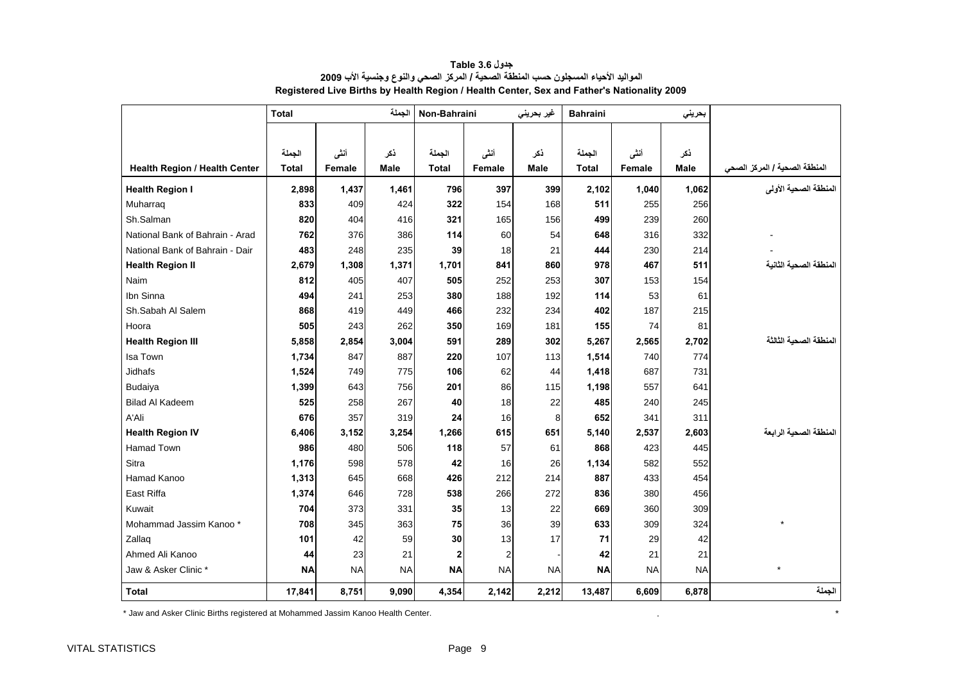<span id="page-9-0"></span>

|                                 | <b>Total</b> |           | الجملة      | Non-Bahraini |                | غير بحريني  | <b>Bahraini</b> |           | بحرينى    |                                       |
|---------------------------------|--------------|-----------|-------------|--------------|----------------|-------------|-----------------|-----------|-----------|---------------------------------------|
|                                 | الجملة       | أنشى      | ذكر         | الجملة       | أننى           | ذكر         | الجملة          | أنشى      | ذكر       |                                       |
| Health Region / Health Center   | <b>Total</b> | Female    | <b>Male</b> | <b>Total</b> | Female         | <b>Male</b> | <b>Total</b>    | Female    | Male      | المنطقة الصحية / المركز الصح <i>ي</i> |
| <b>Health Region I</b>          | 2,898        | 1,437     | 1,461       | 796          | 397            | 399         | 2,102           | 1,040     | 1,062     | المنطقة الصحية الأولى                 |
| Muharraq                        | 833          | 409       | 424         | 322          | 154            | 168         | 511             | 255       | 256       |                                       |
| Sh.Salman                       | 820          | 404       | 416         | 321          | 165            | 156         | 499             | 239       | 260       |                                       |
| National Bank of Bahrain - Arad | 762          | 376       | 386         | 114          | 60             | 54          | 648             | 316       | 332       |                                       |
| National Bank of Bahrain - Dair | 483          | 248       | 235         | 39           | 18             | 21          | 444             | 230       | 214       |                                       |
| <b>Health Region II</b>         | 2,679        | 1,308     | 1,371       | 1,701        | 841            | 860         | 978             | 467       | 511       | المنطقة الصحية الثانية                |
| Naim                            | 812          | 405       | 407         | 505          | 252            | 253         | 307             | 153       | 154       |                                       |
| Ibn Sinna                       | 494          | 241       | 253         | 380          | 188            | 192         | 114             | 53        | 61        |                                       |
| Sh.Sabah Al Salem               | 868          | 419       | 449         | 466          | 232            | 234         | 402             | 187       | 215       |                                       |
| Hoora                           | 505          | 243       | 262         | 350          | 169            | 181         | 155             | 74        | 81        |                                       |
| <b>Health Region III</b>        | 5,858        | 2,854     | 3,004       | 591          | 289            | 302         | 5,267           | 2,565     | 2,702     | المنطقة الصحبة الثالثة                |
| Isa Town                        | 1,734        | 847       | 887         | 220          | 107            | 113         | 1,514           | 740       | 774       |                                       |
| <b>Jidhafs</b>                  | 1,524        | 749       | 775         | 106          | 62             | 44          | 1,418           | 687       | 731       |                                       |
| Budaiya                         | 1,399        | 643       | 756         | 201          | 86             | 115         | 1,198           | 557       | 641       |                                       |
| <b>Bilad Al Kadeem</b>          | 525          | 258       | 267         | 40           | 18             | 22          | 485             | 240       | 245       |                                       |
| A'Ali                           | 676          | 357       | 319         | 24           | 16             | 8           | 652             | 341       | 311       |                                       |
| <b>Health Region IV</b>         | 6,406        | 3,152     | 3,254       | 1,266        | 615            | 651         | 5,140           | 2,537     | 2,603     | المنطقة الصحية الر ابعة               |
| Hamad Town                      | 986          | 480       | 506         | 118          | 57             | 61          | 868             | 423       | 445       |                                       |
| Sitra                           | 1,176        | 598       | 578         | 42           | 16             | 26          | 1,134           | 582       | 552       |                                       |
| Hamad Kanoo                     | 1,313        | 645       | 668         | 426          | 212            | 214         | 887             | 433       | 454       |                                       |
| East Riffa                      | 1,374        | 646       | 728         | 538          | 266            | 272         | 836             | 380       | 456       |                                       |
| Kuwait                          | 704          | 373       | 331         | 35           | 13             | 22          | 669             | 360       | 309       |                                       |
| Mohammad Jassim Kanoo *         | 708          | 345       | 363         | 75           | 36             | 39          | 633             | 309       | 324       |                                       |
| Zallaq                          | 101          | 42        | 59          | 30           | 13             | 17          | 71              | 29        | 42        |                                       |
| Ahmed Ali Kanoo                 | 44           | 23        | 21          | $\mathbf 2$  | $\overline{2}$ |             | 42              | 21        | 21        |                                       |
| Jaw & Asker Clinic *            | <b>NA</b>    | <b>NA</b> | <b>NA</b>   | <b>NA</b>    | <b>NA</b>      | <b>NA</b>   | <b>NA</b>       | <b>NA</b> | <b>NA</b> | $\star$                               |
| <b>Total</b>                    | 17,841       | 8,751     | 9,090       | 4,354        | 2,142          | 2,212       | 13,487          | 6,609     | 6,878     | الجملة                                |

**جدول 3.6 Table المواليد الأحياء المسجلون حسب المنطقة الصحية / المرآز الصحي والنوع وجنسية الأب <sup>2009</sup> Registered Live Births by Health Region / Health Center, Sex and Father's Nationality 2009** 

\* Jaw and Asker Clinic Births registered at Mohammed Jassim Kanoo Health Center. . \*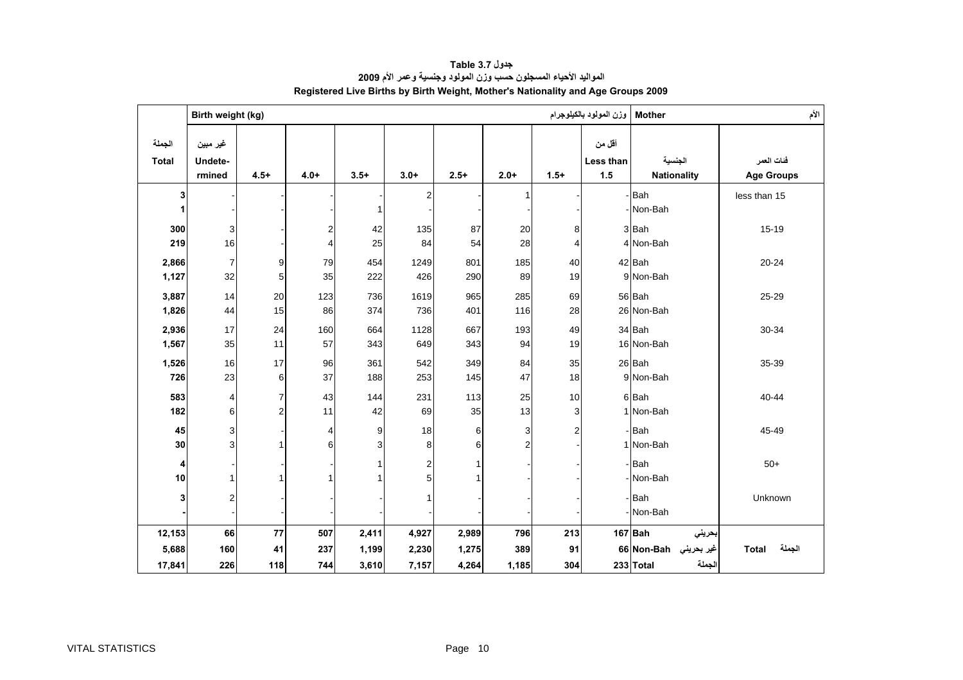<span id="page-10-0"></span>

|                        | Birth weight (kg)<br>وزن المولود بالكيلوجرام<br><b>Mother</b> |                |                |        |        |              |                         |        |                            |                               | الأم                            |
|------------------------|---------------------------------------------------------------|----------------|----------------|--------|--------|--------------|-------------------------|--------|----------------------------|-------------------------------|---------------------------------|
| الجملة<br><b>Total</b> | غير مبين<br>Undete-<br>rmined                                 | $4.5+$         | $4.0+$         | $3.5+$ | $3.0+$ | $2.5+$       | $2.0+$                  | $1.5+$ | أقل من<br>Less than<br>1.5 | الجنسية<br><b>Nationality</b> | فنات العمر<br><b>Age Groups</b> |
| 3                      |                                                               |                |                |        | 2      |              | 1                       |        |                            | -Bah                          | less than 15                    |
| 1                      |                                                               |                |                | 1      |        |              |                         |        |                            | - Non-Bah                     |                                 |
| 300                    | 3                                                             |                | $\sqrt{2}$     | 42     | 135    | 87           | 20                      | 8      |                            | 3Bah                          | 15-19                           |
| 219                    | 16                                                            |                | $\overline{4}$ | 25     | 84     | 54           | 28                      | 4      |                            | 4 Non-Bah                     |                                 |
| 2,866                  | 7                                                             | 9              | 79             | 454    | 1249   | 801          | 185                     | 40     |                            | 42 Bah                        | $20 - 24$                       |
| 1,127                  | 32                                                            | 5              | 35             | 222    | 426    | 290          | 89                      | 19     |                            | 9 Non-Bah                     |                                 |
| 3,887                  | 14                                                            | 20             | 123            | 736    | 1619   | 965          | 285                     | 69     |                            | 56 Bah                        | 25-29                           |
| 1,826                  | 44                                                            | 15             | 86             | 374    | 736    | 401          | 116                     | 28     |                            | 26 Non-Bah                    |                                 |
| 2,936                  | 17                                                            | 24             | 160            | 664    | 1128   | 667          | 193                     | 49     |                            | 34 Bah                        | 30-34                           |
| 1,567                  | 35                                                            | 11             | 57             | 343    | 649    | 343          | 94                      | 19     |                            | 16 Non-Bah                    |                                 |
| 1,526                  | 16                                                            | 17             | 96             | 361    | 542    | 349          | 84                      | 35     |                            | 26 Bah                        | 35-39                           |
| 726                    | 23                                                            | 6              | 37             | 188    | 253    | 145          | 47                      | 18     |                            | 9 Non-Bah                     |                                 |
| 583                    | 4                                                             | $\overline{7}$ | 43             | 144    | 231    | 113          | 25                      | 10     |                            | 6Bah                          | 40-44                           |
| 182                    | 6                                                             | $\overline{2}$ | 11             | 42     | 69     | 35           | 13                      | 3      |                            | 1 Non-Bah                     |                                 |
| 45                     | 3                                                             |                | 4              | 9      | 18     | 6            | 3                       | 2      |                            | -Bah                          | 45-49                           |
| 30                     | 3                                                             |                | 6              | 3      | 8      | 6            | $\overline{\mathbf{c}}$ |        |                            | 1 Non-Bah                     |                                 |
| 4                      |                                                               |                |                | 1      | 2      | $\mathbf{1}$ |                         |        |                            | -Bah                          | $50+$                           |
| 10                     | 1                                                             |                | 1              | 1      | 5      | 1            |                         |        |                            | Non-Bah                       |                                 |
| 3                      | $\overline{\mathbf{c}}$                                       |                |                |        |        |              |                         |        |                            | Bah                           | Unknown                         |
|                        |                                                               |                |                |        |        |              |                         |        |                            | - Non-Bah                     |                                 |
| 12,153                 | 66                                                            | 77             | 507            | 2,411  | 4,927  | 2,989        | 796                     | 213    |                            | $167$ Bah<br>بحريني           |                                 |
| 5,688                  | 160                                                           | 41             | 237            | 1,199  | 2,230  | 1,275        | 389                     | 91     |                            | غير بحريني Ron-Bahو66 Non-Bah | الجملة<br><b>Total</b>          |
| 17,841                 | 226                                                           | 118            | 744            | 3,610  | 7,157  | 4,264        | 1,185                   | 304    |                            | الجملة<br>233 Total           |                                 |

**جدول 3.7 Table المواليد الأحياء المسجلون حسب وزن المولود وجنسية وعمر الأم <sup>2009</sup> Registered Live Births by Birth Weight, Mother's Nationality and Age Groups 2009**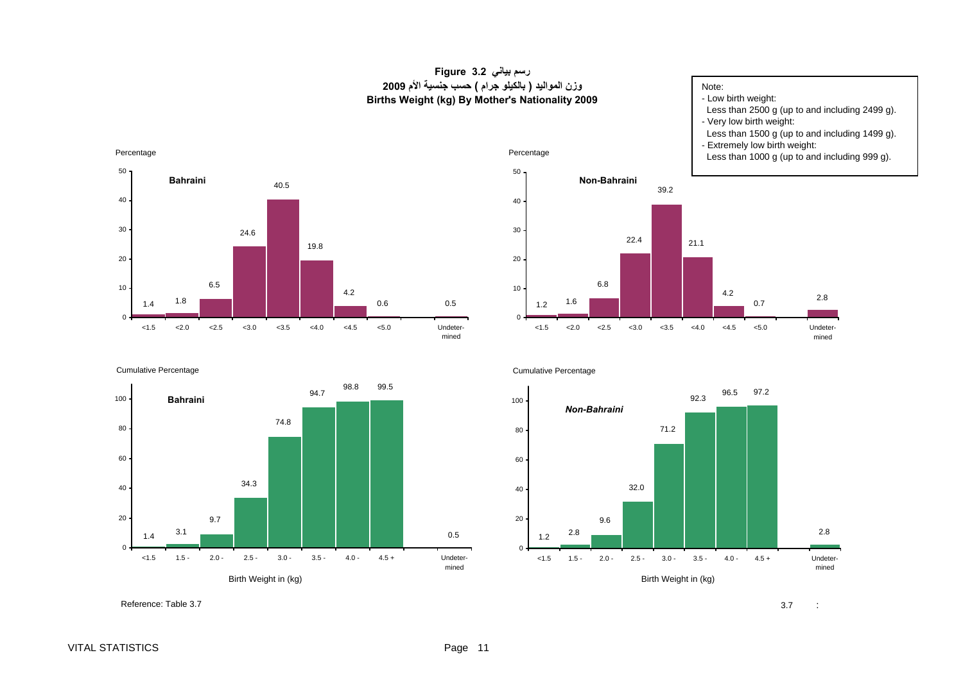#### **رسم بياني 3.2 Figure وزن المواليد ( بالكيلو جرام ) حسب جنسية الأم <sup>2009</sup> Births Weight (kg) By Mother's Nationality 2009**

#### Note:

- Low birth weight:

- Less than 2500 g (up to and including 2499 g).
- Very low birth weight:
- Less than 1500 g (up to and including 1499 g).
- Extremely low birth weight:

0.7

Less than 1000 g (up to and including 999 g).

2.8

Undetermined



Percentage





<span id="page-11-0"></span>Percentage



Cumulative Percentage



Reference: Table 3.7

 $\sim$  3.7 :  $\mathcal{L}$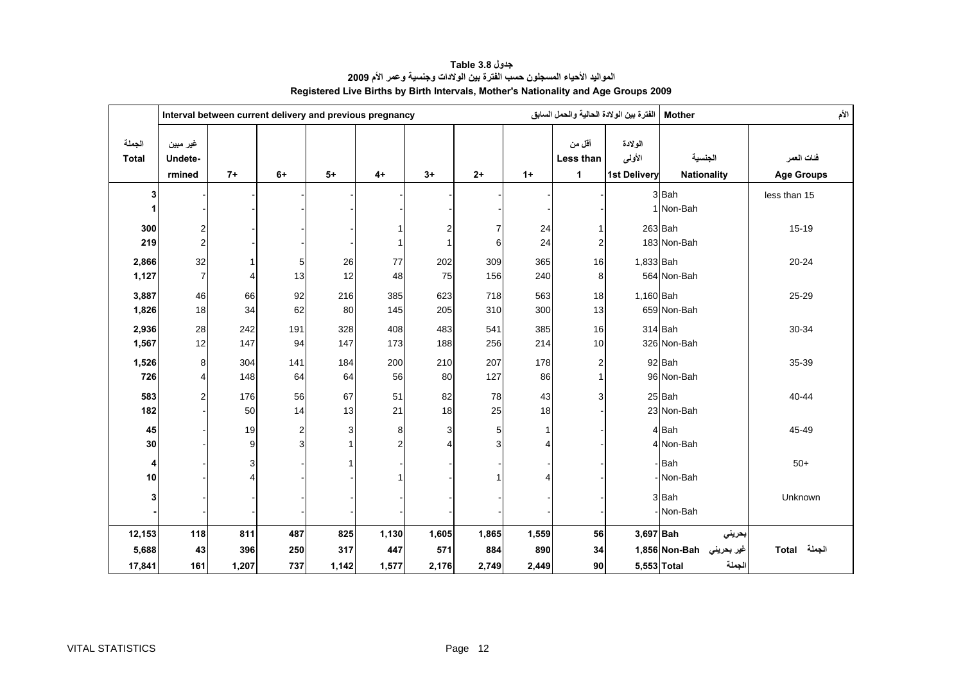<span id="page-12-0"></span>

|                           |                                           |                        | الفترة بين الولادة الحالية والحمل السابق<br>Interval between current delivery and previous pregnancy |                     |                              |                       |                       |                       |                                         | <b>Mother</b>                            |                                                             |                                 |
|---------------------------|-------------------------------------------|------------------------|------------------------------------------------------------------------------------------------------|---------------------|------------------------------|-----------------------|-----------------------|-----------------------|-----------------------------------------|------------------------------------------|-------------------------------------------------------------|---------------------------------|
| الجملة<br><b>Total</b>    | غير مبين<br>Undete-<br>rmined             | $7+$                   | $6+$                                                                                                 | $5+$                | $4+$                         | $3+$                  | $2+$                  | $1+$                  | أقل من<br>Less than<br>1                | الولادة<br>الأولى<br><b>1st Delivery</b> | الجنسية<br><b>Nationality</b>                               | فئات العمر<br><b>Age Groups</b> |
| 3<br>1                    |                                           |                        |                                                                                                      |                     |                              |                       |                       |                       |                                         |                                          | 3 Bah<br>1 Non-Bah                                          | less than 15                    |
| 300<br>219                | $\overline{\mathbf{c}}$<br>$\overline{a}$ |                        |                                                                                                      |                     | $\mathbf{1}$<br>$\mathbf{1}$ | 2<br>$\mathbf{1}$     | 7<br>6                | 24<br>24              | $\mathbf{1}$<br>$\overline{\mathbf{c}}$ |                                          | $263$ Bah<br>183 Non-Bah                                    | $15 - 19$                       |
| 2,866<br>1,127            | 32<br>$\overline{7}$                      | 4                      | 5<br>13                                                                                              | 26<br>12            | $77$<br>48                   | 202<br>75             | 309<br>156            | 365<br>240            | 16<br>8                                 | 1,833 Bah                                | 564 Non-Bah                                                 | $20 - 24$                       |
| 3,887<br>1,826            | 46<br>18                                  | 66<br>34               | 92<br>62                                                                                             | 216<br>80           | 385<br>145                   | 623<br>205            | 718<br>310            | 563<br>300            | 18<br>13                                | 1,160 Bah                                | 659 Non-Bah                                                 | 25-29                           |
| 2,936<br>1,567            | 28<br>12                                  | 242<br>147             | 191<br>94                                                                                            | 328<br>147          | 408<br>173                   | 483<br>188            | 541<br>256            | 385<br>214            | 16<br>10                                |                                          | 314 Bah<br>326 Non-Bah                                      | 30-34                           |
| 1,526<br>726              | 8<br>4                                    | 304<br>148             | 141<br>64                                                                                            | 184<br>64           | 200<br>56                    | 210<br>80             | 207<br>127            | 178<br>86             | $\overline{\mathbf{c}}$<br>$\mathbf{1}$ |                                          | 92 Bah<br>96 Non-Bah                                        | 35-39                           |
| 583<br>182                | $\overline{a}$                            | 176<br>50              | 56<br>14                                                                                             | 67<br>13            | 51<br>21                     | 82<br>18              | 78<br>25              | 43<br>18              | 3                                       |                                          | 25 Bah<br>23 Non-Bah                                        | 40-44                           |
| 45<br>30                  |                                           | 19<br>$\boldsymbol{9}$ | $\overline{\mathbf{c}}$<br>3                                                                         | 3<br>$\mathbf{1}$   | 8<br>$\overline{c}$          | 3<br>$\overline{4}$   | 5<br>3                | 4                     |                                         |                                          | 4 Bah<br>4 Non-Bah                                          | 45-49                           |
| 4<br>10                   |                                           | 3                      |                                                                                                      | 1                   |                              |                       |                       |                       |                                         |                                          | -Bah<br>-Non-Bah                                            | $50+$                           |
| 3                         |                                           |                        |                                                                                                      |                     |                              |                       |                       |                       |                                         |                                          | 3Bah<br>-Non-Bah                                            | Unknown                         |
| 12,153<br>5,688<br>17,841 | 118<br>43<br>161                          | 811<br>396<br>1,207    | 487<br>250<br>737                                                                                    | 825<br>317<br>1,142 | 1,130<br>447<br>1,577        | 1,605<br>571<br>2,176 | 1,865<br>884<br>2,749 | 1,559<br>890<br>2,449 | 56<br>34<br>90                          | $3,697$ Bah                              | بحريني<br>غير بحريني Non-Bah 1,856<br>الجملة<br>5,553 Total | الجملة Total                    |

**جدول 3.8 Table المواليد الأحياء المسجلون حسب الفترة بين الولادات وجنسية وعمر الأم <sup>2009</sup> Registered Live Births by Birth Intervals, Mother's Nationality and Age Groups 2009**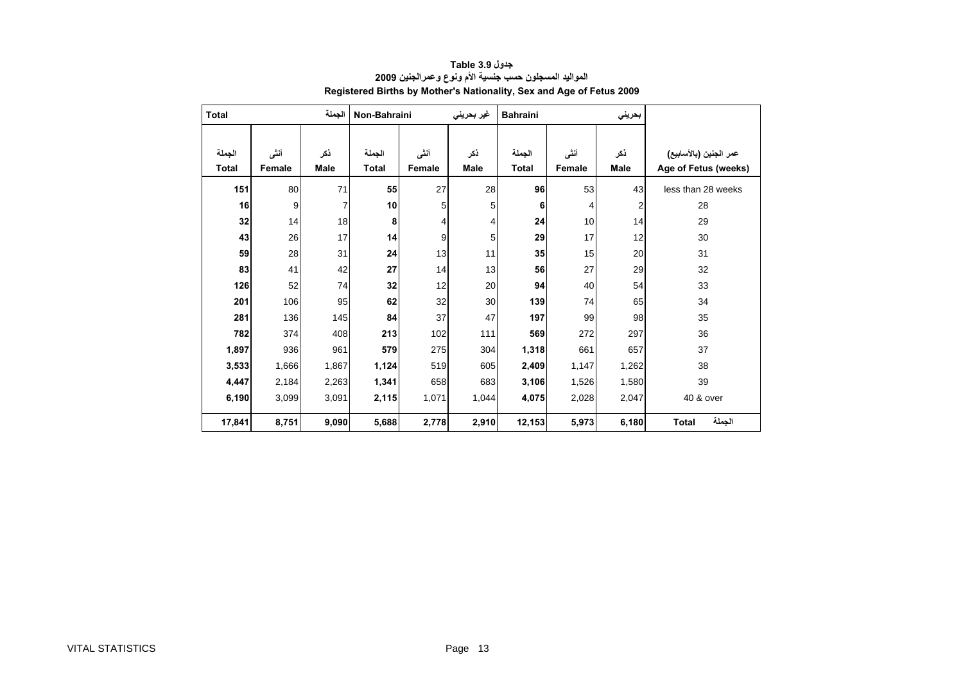<span id="page-13-0"></span>

| Total                  |                 | الجملة      | Non-Bahraini           |                | غير بحريني  | <b>Bahraini</b>        |                | بحريني                  |                                                |
|------------------------|-----------------|-------------|------------------------|----------------|-------------|------------------------|----------------|-------------------------|------------------------------------------------|
| الجملة<br><b>Total</b> | أننسى<br>Female | ذكر<br>Male | الجملة<br><b>Total</b> | أنشى<br>Female | ذكر<br>Male | الجملة<br><b>Total</b> | أنشى<br>Female | نكر<br>Male             | عمر الجنين (بالأسابيع)<br>Age of Fetus (weeks) |
|                        |                 |             |                        |                |             |                        |                |                         |                                                |
| 151                    | 80              | 71          | 55                     | 27             | 28          | 96                     | 53             | 43                      | less than 28 weeks                             |
| 16                     | 9               | 7           | 10                     | 5              | 5           | 6                      | 4              | $\overline{\mathbf{c}}$ | 28                                             |
| 32                     | 14              | 18          | 8                      | 4              | 4           | 24                     | 10             | 14                      | 29                                             |
| 43                     | 26              | 17          | 14                     | 9              | 5           | 29                     | 17             | 12                      | 30                                             |
| 59                     | 28              | 31          | 24                     | 13             | 11          | 35                     | 15             | 20                      | 31                                             |
| 83                     | 41              | 42          | 27                     | 14             | 13          | 56                     | 27             | 29                      | 32                                             |
| 126                    | 52              | 74          | 32                     | 12             | 20          | 94                     | 40             | 54                      | 33                                             |
| 201                    | 106             | 95          | 62                     | 32             | 30          | 139                    | 74             | 65                      | 34                                             |
| 281                    | 136             | 145         | 84                     | 37             | 47          | 197                    | 99             | 98                      | 35                                             |
| 782                    | 374             | 408         | 213                    | 102            | 111         | 569                    | 272            | 297                     | 36                                             |
| 1,897                  | 936             | 961         | 579                    | 275            | 304         | 1,318                  | 661            | 657                     | 37                                             |
| 3,533                  | 1,666           | 1,867       | 1,124                  | 519            | 605         | 2,409                  | 1,147          | 1,262                   | 38                                             |
| 4,447                  | 2,184           | 2,263       | 1,341                  | 658            | 683         | 3,106                  | 1,526<br>1,580 |                         | 39                                             |
| 6,190                  | 3,099           | 3,091       | 2,115                  | 1,071          | 1,044       | 4,075                  | 2,028<br>2,047 |                         | 40 & over                                      |
| 17,841                 | 8,751           | 9,090       | 5,688                  | 2,778          | 2,910       | 12,153                 | 5,973          | 6,180                   | الجملة<br><b>Total</b>                         |

#### **جدول 3.9 Table المواليد المسجلون حسب جنسية الأم ونوع وعمرالجنين <sup>2009</sup> Registered Births by Mother's Nationality, Sex and Age of Fetus 2009**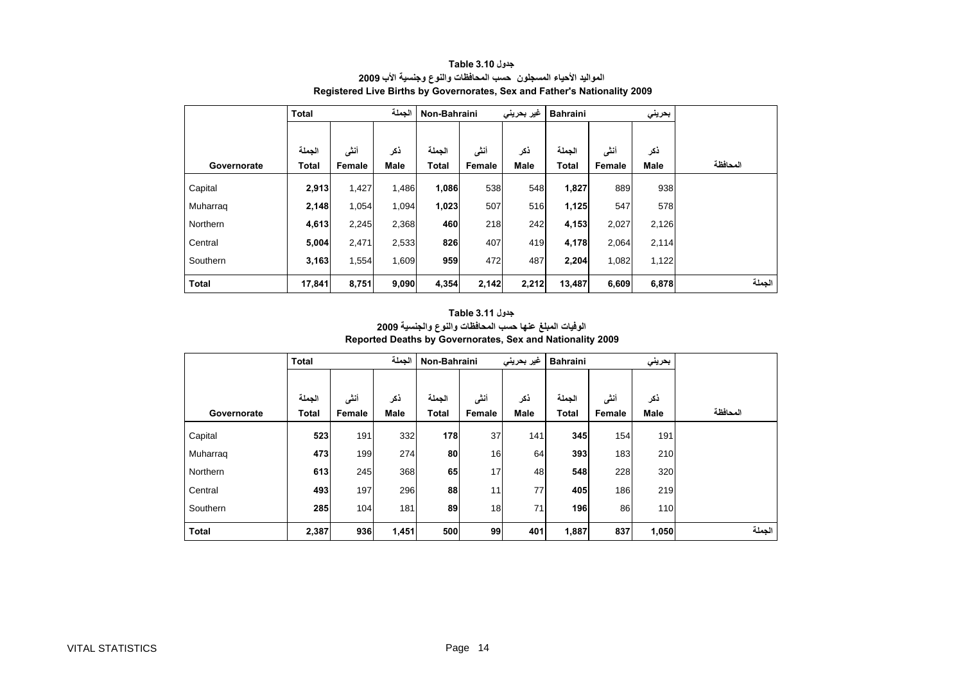<span id="page-14-0"></span>

|              | <b>Total</b>           |                | الجملة             | Non-Bahraini    |                | غیر بحرینی<br><b>Bahraini</b> |                        |                | بحريني      |          |
|--------------|------------------------|----------------|--------------------|-----------------|----------------|-------------------------------|------------------------|----------------|-------------|----------|
| Governorate  | الجملة<br><b>Total</b> | أنشى<br>Female | ذكر<br><b>Male</b> | الجملة<br>Total | أنشى<br>Female | ذكر<br><b>Male</b>            | الجملة<br><b>Total</b> | أنشى<br>Female | ذكر<br>Male | المحافظة |
| Capital      | 2,913                  | 1,427          | 1,486              | 1,086           | 538            | 548                           | 1,827                  | 889            | 938         |          |
| Muharrag     | 2,148                  | 1,054          | 1,094              | 1,023           | 507            | 516                           | 1,125                  | 547            | 578         |          |
| Northern     | 4,613                  | 2,245          | 2,368              | 460             | 218            | 242                           | 4,153                  | 2,027          | 2,126       |          |
| Central      | 5,004                  | 2,471          | 2,533              | 826             | 407            | 419                           | 4,178                  | 2,064          | 2,114       |          |
| Southern     | 3,163                  | 1,554          | 1,609              | 959             | 472            | 487                           | 2,204                  | 1,082          | 1,122       |          |
| <b>Total</b> | 17,841                 | 8,751          | 9,090              | 4,354           | 2,142          | 2,212                         | 13,487                 | 6,609          | 6,878       | الجملة   |

#### **جدول 3.10 Table المواليد الأحياء المسجلون حسب المحافظات والنوع وجنسية الأب <sup>2009</sup> Registered Live Births by Governorates, Sex and Father's Nationality 2009**

#### **جدول 3.11 Table الوفيات المبلغ عنها حسب المحافظات والنوع والجنسية <sup>2009</sup> Reported Deaths by Governorates, Sex and Nationality 2009**

|              | <b>Total</b>           |                | الجملة             | Non-Bahraini           |                |                    | غیر بحرینی<br><b>Bahraini</b> |                |             |          |
|--------------|------------------------|----------------|--------------------|------------------------|----------------|--------------------|-------------------------------|----------------|-------------|----------|
| Governorate  | الجملة<br><b>Total</b> | أنشى<br>Female | ذكر<br><b>Male</b> | الجملة<br><b>Total</b> | أنشى<br>Female | ذكر<br><b>Male</b> | الجملة<br><b>Total</b>        | أنشى<br>Female | ذكر<br>Male | المحافظة |
| Capital      | 523                    | 191            | 332                | 178                    | 37             | 141                | 345                           | 154            | 191         |          |
| Muharrag     | 473                    | 199            | 274                | 80                     | 16             | 64                 | 393                           | 183            | 210         |          |
| Northern     | 613                    | 245            | 368                | 65                     | 17             | 48                 | 548                           | 228            | 320         |          |
| Central      | 493                    | 197            | 296                | 88                     | 11             | 77                 | 405                           | 186            | 219         |          |
| Southern     | 285                    | 104            | 181                | 89                     | 18             | 71                 | 196                           | 86             | 110         |          |
| <b>Total</b> | 2,387                  | 936            | 1,451              | 500                    | 99             | 401                | 1,887                         | 837            | 1,050       | الجملة   |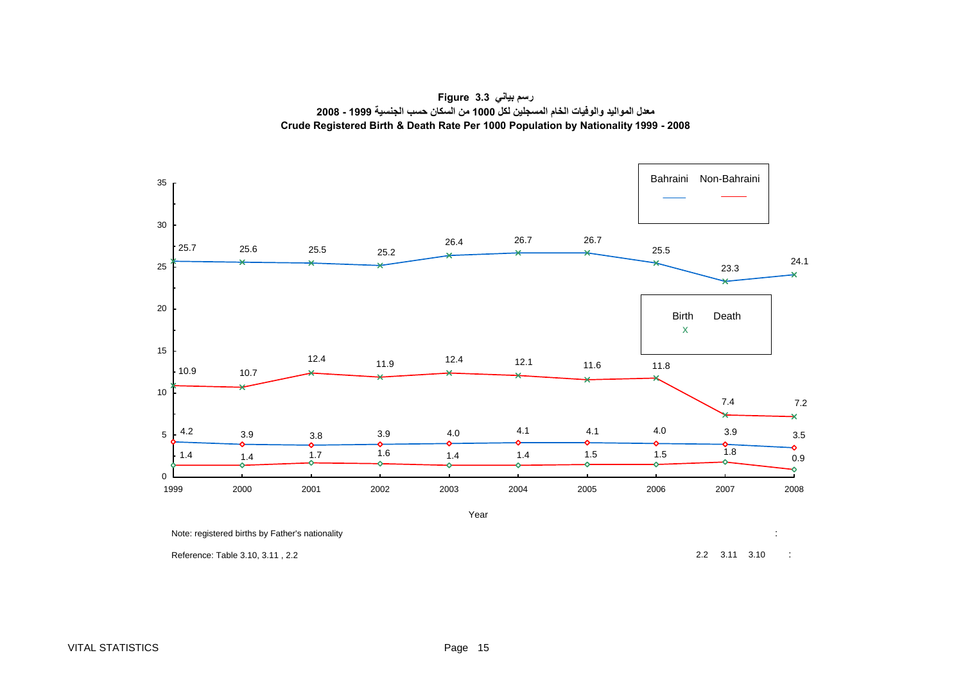<span id="page-15-0"></span>

**رسم بياني 3.3 Figure معدل المواليد والوفيات الخام المسجلين لكل 1000 من السكان حسب الجنسية 1999 - 2008 Crude Registered Birth & Death Rate Per 1000 Population by Nationality 1999 - 2008**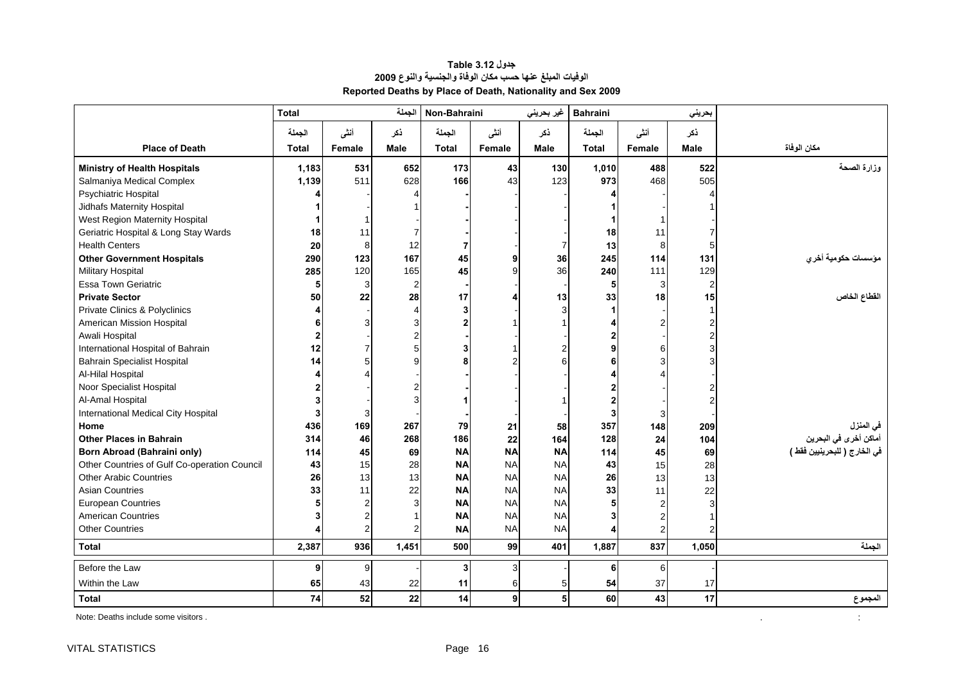<span id="page-16-0"></span>

|                                              | <b>Total</b>     |                | الجملة         | Non-Bahraini   |           | غير بحريني     | <b>Bahraini</b> |                | بحريني         |                              |
|----------------------------------------------|------------------|----------------|----------------|----------------|-----------|----------------|-----------------|----------------|----------------|------------------------------|
|                                              | الجملة           | أنشى           | ذكر            | الجملة         | أننسى     | نكر            | الجملة          | أننى           | ذكر            |                              |
| <b>Place of Death</b>                        | <b>Total</b>     | Female         | <b>Male</b>    | <b>Total</b>   | Female    | <b>Male</b>    | <b>Total</b>    | Female         | <b>Male</b>    | مكان الوفاة                  |
| <b>Ministry of Health Hospitals</b>          | 1,183            | 531            | 652            | 173            | 43        | 130            | 1,010           | 488            | 522            | وزارة الصحة                  |
| Salmaniya Medical Complex                    | 1,139            | 511            | 628            | 166            | 43        | 123            | 973             | 468            | 505            |                              |
| Psychiatric Hospital                         |                  |                |                |                |           |                |                 |                |                |                              |
| Jidhafs Maternity Hospital                   |                  |                |                |                |           |                |                 |                |                |                              |
| West Region Maternity Hospital               |                  |                |                |                |           |                |                 |                |                |                              |
| Geriatric Hospital & Long Stay Wards         | 18               | 11             |                |                |           |                | 18              | 11             |                |                              |
| <b>Health Centers</b>                        | 20               | 8              | 12             | 7              |           | 7              | 13              | 8              | 5              |                              |
| <b>Other Government Hospitals</b>            | 290              | 123            | 167            | 45             | 9         | 36             | 245             | 114            | 131            | مؤسسات حكومية أخري           |
| <b>Military Hospital</b>                     | 285              | 120            | 165            | 45             | 9         | 36             | 240             | 111            | 129            |                              |
| <b>Essa Town Geriatric</b>                   | 5                | 3              | $\overline{2}$ |                |           |                | 5               | 3              | $\overline{2}$ |                              |
| <b>Private Sector</b>                        | 50               | 22             | 28             | 17             |           | 13             | 33              | 18             | 15             | القطاع الخاص                 |
| Private Clinics & Polyclinics                | 4                |                |                | 3              |           | 3              |                 |                |                |                              |
| American Mission Hospital                    | 6                | 3              |                | $\overline{2}$ |           |                |                 | $\overline{c}$ | $\overline{2}$ |                              |
| Awali Hospital                               |                  |                |                |                |           |                |                 |                | $\overline{2}$ |                              |
| International Hospital of Bahrain            | 12               |                | 5              | 3              |           | $\overline{2}$ | 9               | 6              | 3              |                              |
| <b>Bahrain Specialist Hospital</b>           | 14               |                | q              | 8              |           | 6              | 6               | 3              | 3              |                              |
| Al-Hilal Hospital                            |                  |                |                |                |           |                |                 |                |                |                              |
| Noor Specialist Hospital                     |                  |                |                |                |           |                |                 |                |                |                              |
| Al-Amal Hospital                             |                  |                |                |                |           |                |                 |                |                |                              |
| International Medical City Hospital          | 3                | 3              |                |                |           |                | 3               | 3              |                |                              |
| Home                                         | 436              | 169            | 267            | 79             | 21        | 58             | 357             | 148            | 209            | في المنزل                    |
| <b>Other Places in Bahrain</b>               | 314              | 46             | 268            | 186            | 22        | 164            | 128             | 24             | 104            | أماكن أخرى في البحرين        |
| <b>Born Abroad (Bahraini only)</b>           | 114              | 45             | 69             | <b>NA</b>      | <b>NA</b> | <b>NA</b>      | 114             | 45             | 69             | في الخارج ( للبحرينيين فقط ) |
| Other Countries of Gulf Co-operation Council | 43               | 15             | 28             | <b>NA</b>      | <b>NA</b> | <b>NA</b>      | 43              | 15             | 28             |                              |
| <b>Other Arabic Countries</b>                | 26               | 13             | 13             | <b>NA</b>      | <b>NA</b> | <b>NA</b>      | 26              | 13             | 13             |                              |
| <b>Asian Countries</b>                       | 33               | 11             | 22             | <b>NA</b>      | <b>NA</b> | <b>NA</b>      | 33              | 11             | 22             |                              |
| <b>European Countries</b>                    |                  | 2              |                | <b>NA</b>      | <b>NA</b> | <b>NA</b>      |                 | $\overline{2}$ | 3              |                              |
| <b>American Countries</b>                    | 3                | $\overline{2}$ |                | <b>NA</b>      | <b>NA</b> | <b>NA</b>      | 3               | $\overline{2}$ |                |                              |
| <b>Other Countries</b>                       |                  | $\overline{2}$ | 2              | <b>NA</b>      | <b>NA</b> | <b>NA</b>      |                 | $\mathfrak{p}$ |                |                              |
| <b>Total</b>                                 | 2,387            | 936            | 1,451          | 500            | 99        | 401            | 1,887           | 837            | 1,050          | الجملة                       |
| Before the Law                               | $\boldsymbol{9}$ | 9              |                | 3              | 3         |                | 6               | 6              |                |                              |
| Within the Law                               | 65               | 43             | 22             | 11             | 6         | 5              | 54              | 37             | 17             |                              |
| <b>Total</b>                                 | 74               | 52             | 22             | 14             | 9         | 5              | 60              | 43             | 17             | المجموع                      |

#### **جدول 3.12 Table الوفيات المبلغ عنها حسب مكان الوفاة والجنسية والنوع <sup>2009</sup> Reported Deaths by Place of Death, Nationality and Sex 2009**

Note: Deaths include some visitors .

 $\mathcal{L}^{\mathcal{L}}$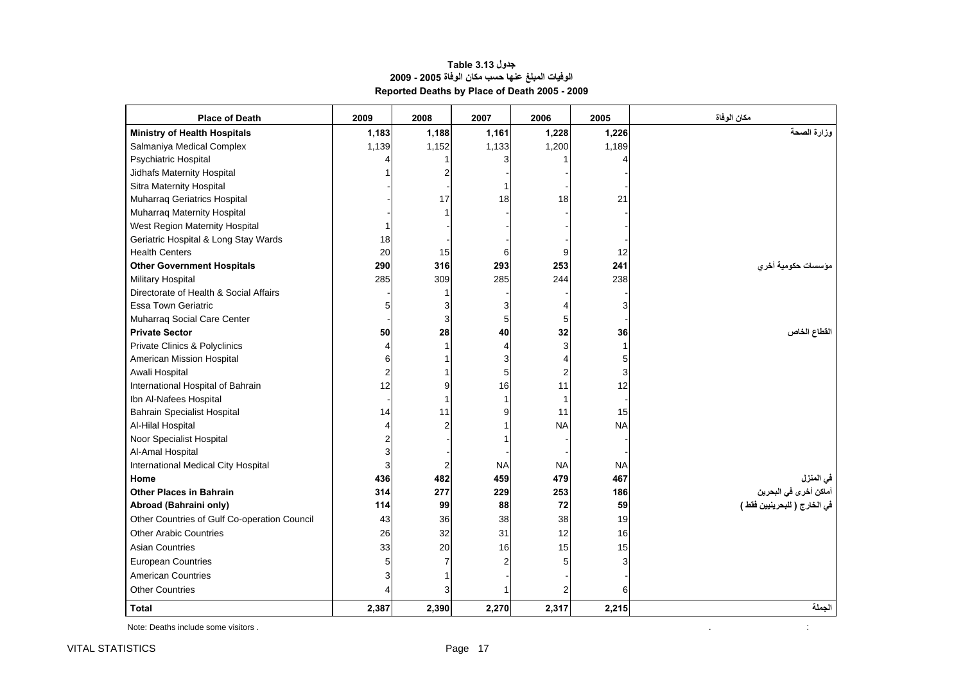#### **جدول 3.13 Table الوفيات المبلغ عنها حسب مكان الوفاة 2005 - 2009 Reported Deaths by Place of Death 2005 - 2009**

<span id="page-17-0"></span>

| <b>Place of Death</b>                        | 2009  | 2008           | 2007      | 2006           | 2005      | مكان الوفاة                        |
|----------------------------------------------|-------|----------------|-----------|----------------|-----------|------------------------------------|
| <b>Ministry of Health Hospitals</b>          | 1,183 | 1,188          | 1,161     | 1,228          | 1,226     | وزارة الصحة                        |
| Salmaniya Medical Complex                    | 1,139 | 1,152          | 1,133     | 1,200          | 1,189     |                                    |
| <b>Psychiatric Hospital</b>                  |       |                |           |                |           |                                    |
| Jidhafs Maternity Hospital                   |       |                |           |                |           |                                    |
| Sitra Maternity Hospital                     |       |                |           |                |           |                                    |
| Muharraq Geriatrics Hospital                 |       | 17             | 18        | 18             | 21        |                                    |
| Muharraq Maternity Hospital                  |       |                |           |                |           |                                    |
| West Region Maternity Hospital               |       |                |           |                |           |                                    |
| Geriatric Hospital & Long Stay Wards         | 18    |                |           |                |           |                                    |
| <b>Health Centers</b>                        | 20    | 15             | 6         | 9              | 12        |                                    |
| <b>Other Government Hospitals</b>            | 290   | 316            | 293       | 253            | 241       | مؤسسات حكومية أخرى                 |
| <b>Military Hospital</b>                     | 285   | 309            | 285       | 244            | 238       |                                    |
| Directorate of Health & Social Affairs       |       |                |           |                |           |                                    |
| <b>Essa Town Geriatric</b>                   | 5     | З              |           | 4              | 3         |                                    |
| Muharraq Social Care Center                  |       | 3              | 5         | 5              |           |                                    |
| <b>Private Sector</b>                        | 50    | 28             | 40        | 32             | 36        | القطاع الخاص                       |
| Private Clinics & Polyclinics                |       |                |           | 3              |           |                                    |
| American Mission Hospital                    | 6     |                | 3         | 4              | 5         |                                    |
| Awali Hospital                               |       |                | 5         | $\overline{2}$ | 3         |                                    |
| International Hospital of Bahrain            | 12    | 9              | 16        | 11             | 12        |                                    |
| Ibn Al-Nafees Hospital                       |       |                |           | 1              |           |                                    |
| <b>Bahrain Specialist Hospital</b>           | 14    | 11             | 9         | 11             | 15        |                                    |
| Al-Hilal Hospital                            |       |                |           | <b>NA</b>      | <b>NA</b> |                                    |
| Noor Specialist Hospital                     |       |                |           |                |           |                                    |
| Al-Amal Hospital                             |       |                |           |                |           |                                    |
| International Medical City Hospital          | 3     | $\overline{2}$ | <b>NA</b> | <b>NA</b>      | <b>NA</b> |                                    |
| Home                                         | 436   | 482            | 459       | 479            | 467       |                                    |
| <b>Other Places in Bahrain</b>               | 314   | 277            | 229       | 253            | 186       | في المنزل<br>أماكن أخرى في البحرين |
| Abroad (Bahraini only)                       | 114   | 99             | 88        | 72             | 59        | في الخارج ( للبحرينيين فقط )       |
| Other Countries of Gulf Co-operation Council | 43    | 36             | 38        | 38             | 19        |                                    |
| <b>Other Arabic Countries</b>                | 26    | 32             | 31        | 12             | 16        |                                    |
| <b>Asian Countries</b>                       | 33    | 20             | 16        | 15             | 15        |                                    |
| <b>European Countries</b>                    |       | 7              |           | 5              | 3         |                                    |
| <b>American Countries</b>                    |       |                |           |                |           |                                    |
| <b>Other Countries</b>                       |       | 3              |           | $\overline{2}$ | 6         |                                    |
| <b>Total</b>                                 | 2,387 | 2,390          | 2,270     | 2,317          | 2,215     | الجملة                             |

Note: Deaths include some visitors . . :

 $\sim$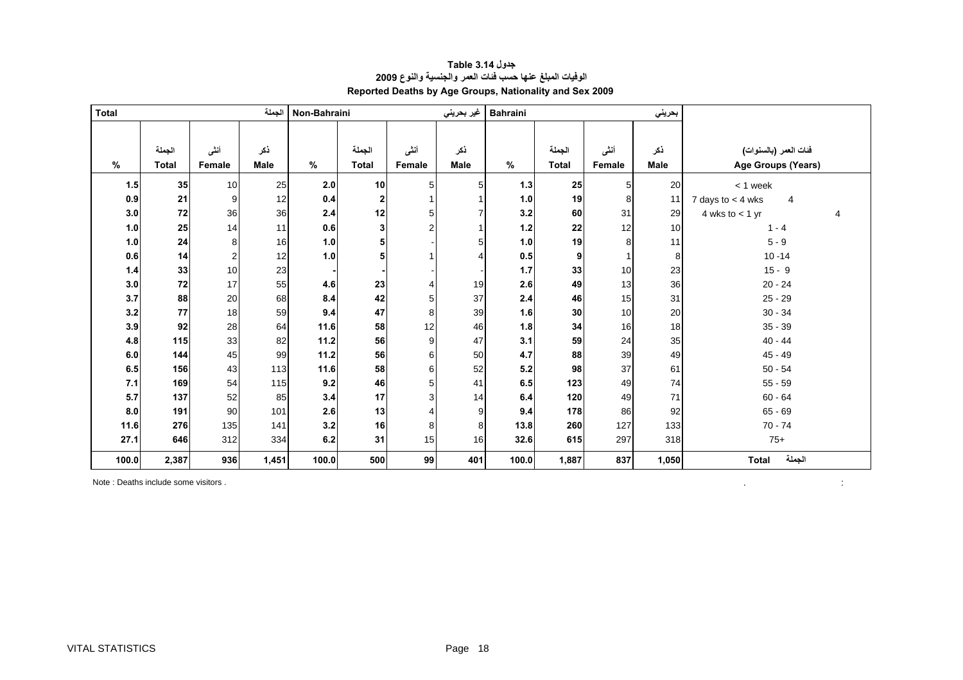<span id="page-18-0"></span>

| <b>Total</b> |                        |                  | الجملة             | Non-Bahraini |                        |                | غير بحريني         | <b>Bahraini</b> |                        |                       | بحريني             |                                               |
|--------------|------------------------|------------------|--------------------|--------------|------------------------|----------------|--------------------|-----------------|------------------------|-----------------------|--------------------|-----------------------------------------------|
|              |                        |                  |                    |              |                        |                |                    |                 |                        |                       |                    |                                               |
| %            | الجملة<br><b>Total</b> | أنشى<br>Female   | ذكر<br><b>Male</b> | $\%$         | الجملة<br><b>Total</b> | أننى<br>Female | ذكر<br><b>Male</b> | %               | الجملة<br><b>Total</b> | أنشى<br><b>Female</b> | نكر<br><b>Male</b> | فَنات المعمر (بالسنوات)<br>Age Groups (Years) |
| 1.5          | 35                     | 10               | 25                 | 2.0          | 10                     | 5 <sub>l</sub> | 5                  | 1.3             | 25                     | 5                     | 20                 | $< 1$ week                                    |
| 0.9          | 21                     | 9                | 12                 | 0.4          | $\mathbf{2}$           |                |                    | 1.0             | 19                     | 8                     | 11                 | 7 days to $<$ 4 wks<br>4                      |
| 3.0          | 72                     | 36               | 36                 | 2.4          | 12                     | 5              |                    | 3.2             | 60                     | 31                    | 29                 | 4 wks to $<$ 1 yr<br>Δ                        |
| 1.0          | 25                     | 14               | 11                 | 0.6          | 3                      | $\overline{2}$ |                    | $1.2$           | 22                     | 12                    | 10                 | $1 - 4$                                       |
| 1.0          | 24                     | 8                | 16                 | 1.0          | 5                      |                | 5                  | 1.0             | 19                     | 8                     | 11                 | $5 - 9$                                       |
| 0.6          | 14                     | $\boldsymbol{2}$ | 12                 | 1.0          | 5                      |                | $\overline{4}$     | 0.5             | 9                      | 1                     | 8                  | $10 - 14$                                     |
| $1.4$        | 33                     | 10               | 23                 |              |                        |                |                    | 1.7             | 33                     | 10                    | 23                 | $15 - 9$                                      |
| 3.0          | 72                     | 17               | 55                 | 4.6          | 23                     |                | 19                 | 2.6             | 49                     | 13                    | 36                 | $20 - 24$                                     |
| 3.7          | 88                     | 20               | 68                 | 8.4          | 42                     | 5              | 37                 | 2.4             | 46                     | 15                    | 31                 | $25 - 29$                                     |
| 3.2          | 77                     | 18               | 59                 | 9.4          | 47                     | 8              | 39                 | 1.6             | 30                     | 10                    | 20                 | $30 - 34$                                     |
| 3.9          | 92                     | 28               | 64                 | 11.6         | 58                     | 12             | 46                 | 1.8             | 34                     | 16                    | 18                 | $35 - 39$                                     |
| 4.8          | 115                    | 33               | 82                 | 11.2         | 56                     | 9              | 47                 | 3.1             | 59                     | 24                    | 35                 | $40 - 44$                                     |
| 6.0          | 144                    | 45               | 99                 | 11.2         | 56                     | 6              | 50                 | 4.7             | 88                     | 39                    | 49                 | $45 - 49$                                     |
| 6.5          | 156                    | 43               | 113                | 11.6         | 58                     | 6              | 52                 | 5.2             | 98                     | 37                    | 61                 | $50 - 54$                                     |
| 7.1          | 169                    | 54               | 115                | 9.2          | 46                     | 5              | 41                 | 6.5             | 123                    | 49                    | 74                 | $55 - 59$                                     |
| 5.7          | 137                    | 52               | 85                 | 3.4          | 17                     | $\overline{3}$ | 14                 | 6.4             | 120                    | 49                    | 71                 | $60 - 64$                                     |
| 8.0          | 191                    | 90               | 101                | 2.6          | 13                     |                | 9                  | 9.4             | 178                    | 86                    | 92                 | $65 - 69$                                     |
| 11.6         | 276                    | 135              | 141                | 3.2          | 16                     | 8              | 8                  | 13.8            | 260                    | 127                   | 133                | $70 - 74$                                     |
| 27.1         | 646                    | 312              | 334                | 6.2          | 31                     | 15             | 16                 | 32.6            | 615                    | 297                   | 318                | $75+$                                         |
| 100.0        | 2,387                  | 936              | 1,451              | 100.0        | 500                    | 99             | 401                | 100.0           | 1,887                  | 837                   | 1,050              | الجملة<br><b>Total</b>                        |

 $\mathcal{L}^{\mathcal{L}}$  and  $\mathcal{L}^{\mathcal{L}}$  are  $\mathcal{L}^{\mathcal{L}}$  . In the figure

#### **جدول 3.14 Table الوفيات المبلغ عنها حسب فئات العمر والجنسية والنوع <sup>2009</sup> Reported Deaths by Age Groups, Nationality and Sex 2009**

Note : Deaths include some visitors .

VITAL STATISTICS **Page 18**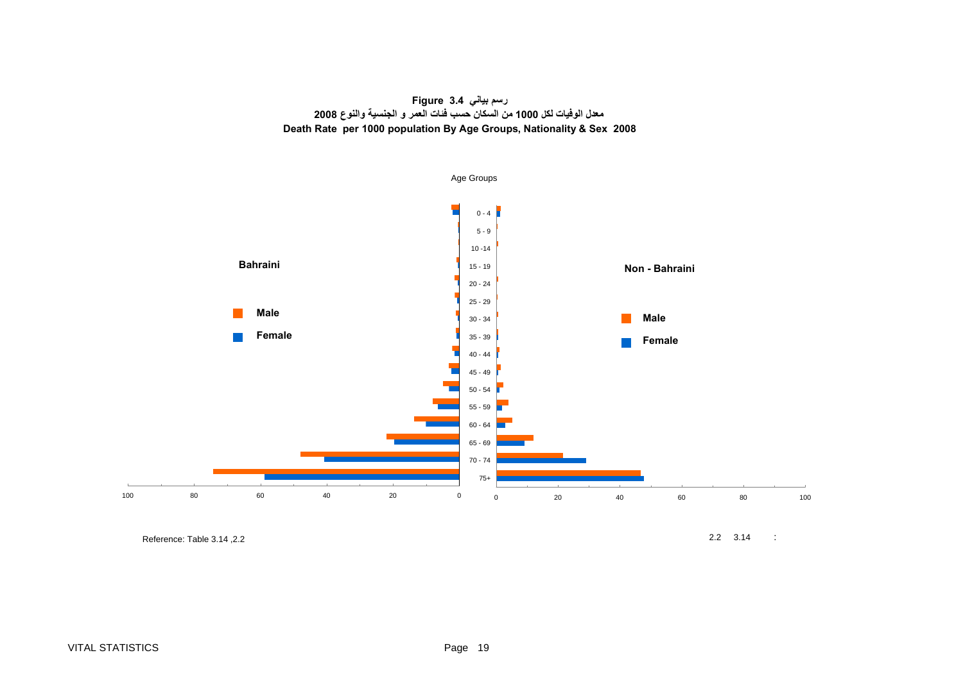

<span id="page-19-0"></span>

Reference: Table 3.14 , 2.2 2.2 3.14 : Reference: Table 3.14 , 2.2 3.14 : 2.2 3.14 : 2.2 3.14 : 2.2 3.14 : 2.2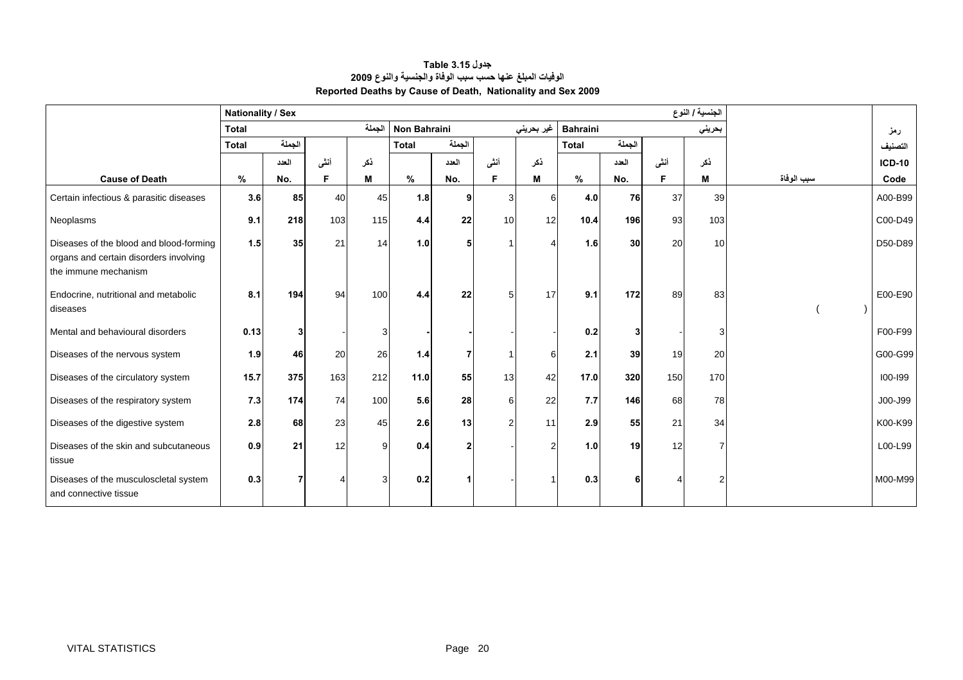<span id="page-20-0"></span>

|                                                                                                           | <b>Nationality / Sex</b> |           |      |              |                     |        |      |            |                 |        |      | الجنسية / النوع |            |               |
|-----------------------------------------------------------------------------------------------------------|--------------------------|-----------|------|--------------|---------------------|--------|------|------------|-----------------|--------|------|-----------------|------------|---------------|
|                                                                                                           | <b>Total</b>             |           |      | الجملة       | <b>Non Bahraini</b> |        |      | غير بحريني | <b>Bahraini</b> |        |      | بحريني          |            | رمز           |
|                                                                                                           | <b>Total</b>             | الجملة    |      |              | <b>Total</b>        | الجملة |      |            | <b>Total</b>    | الجملة |      |                 |            | التصنيف       |
|                                                                                                           |                          | العدد     | أننى | نكر          |                     | العدد  | أننى | ذكر        |                 | العدد  | أننى | ذكر             |            | <b>ICD-10</b> |
| <b>Cause of Death</b>                                                                                     | %                        | No.       | F    | M            | $\%$                | No.    | F    | M          | $\%$            | No.    | Е    | M               | سبب الوفاة | Code          |
| Certain infectious & parasitic diseases                                                                   | 3.6                      | 85        | 40   | 45           | 1.8                 | 9      |      | ี          | 4.0             | 76     | 37   | 39              |            | A00-B99       |
| Neoplasms                                                                                                 | 9.1                      | 218       | 103  | 115          | 4.4                 | 22     | 10   | 12         | 10.4            | 196    | 93   | 103             |            | C00-D49       |
| Diseases of the blood and blood-forming<br>organs and certain disorders involving<br>the immune mechanism | 1.5                      | 35        | 21   | 14           | 1.0                 | 5      |      |            | 1.6             | 30     | 20   | 10 <sup>1</sup> |            | D50-D89       |
| Endocrine, nutritional and metabolic<br>diseases                                                          | 8.1                      | 194       | 94   | 100          | 4.4                 | 22     |      | 17         | 9.1             | 172    | 89   | 83              |            | E00-E90       |
| Mental and behavioural disorders                                                                          | 0.13                     |           |      | 3            |                     |        |      |            | 0.2             |        |      | 3               |            | F00-F99       |
| Diseases of the nervous system                                                                            | 1.9                      | 46        | 20   | 26           | 1.4                 |        |      | ค          | 2.1             | 39     | 19   | 20              |            | G00-G99       |
| Diseases of the circulatory system                                                                        | 15.7                     | 375       | 163  | 212          | 11.0                | 55     | 13   | 42         | 17.0            | 320    | 150  | 170             |            | $100 - 199$   |
| Diseases of the respiratory system                                                                        | 7.3                      | 174       | 74   | 100          | 5.6                 | 28     | 6    | 22         | 7.7             | 146    | 68   | 78              |            | J00-J99       |
| Diseases of the digestive system                                                                          | 2.8                      | <b>68</b> | 23   | 45           | 2.6                 | 13     |      | 11         | 2.9             | 55     | 21   | 34              |            | K00-K99       |
| Diseases of the skin and subcutaneous<br>tissue                                                           | 0.9                      | 21        | 12   | $\mathbf{Q}$ | 0.4                 | 2      |      |            | 1.0             | 19     | 12   |                 |            | L00-L99       |
| Diseases of the musculoscletal system<br>and connective tissue                                            | 0.3                      |           |      | 3            | 0.2                 |        |      |            | 0.3             |        |      | 2               |            | M00-M99       |

#### **جدول 3.15 Table الوفيات المبلغ عنها حسب سبب الوفاة والجنسية والنوع <sup>2009</sup> Reported Deaths by Cause of Death, Nationality and Sex 2009**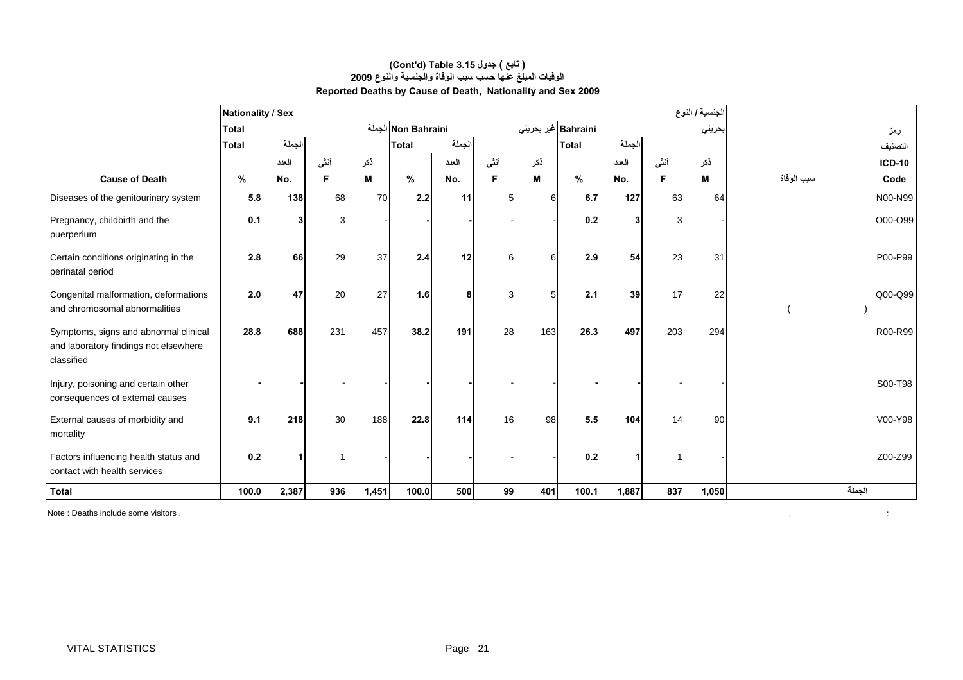|                                                                                              | Nationality / Sex |        |                 |       |                     |        |                 |     |                             |              |      | الجنسية / النوع |            |               |
|----------------------------------------------------------------------------------------------|-------------------|--------|-----------------|-------|---------------------|--------|-----------------|-----|-----------------------------|--------------|------|-----------------|------------|---------------|
|                                                                                              | <b>Total</b>      |        |                 |       | Non Bahraini الجملة |        |                 |     | Bahraini عير بحرين <i>ي</i> |              |      | بحريني          |            | رمز           |
|                                                                                              | <b>Total</b>      | الجملة |                 |       | <b>Total</b>        | الجملة |                 |     | <b>Total</b>                | الجملة       |      |                 |            | التصنيف       |
|                                                                                              |                   | العدد  | أنشى            | نكر   |                     | العدد  | أننى            | ذكر |                             | العدد        | أنشى | ذكر             |            | <b>ICD-10</b> |
| <b>Cause of Death</b>                                                                        | %                 | No.    | F               | м     | %                   | No.    | F               | м   | %                           | No.          | F    | M               | سبب الوفاة | Code          |
| Diseases of the genitourinary system                                                         | 5.8               | 138    | 68              | 70    | 2.2                 | 11     |                 | 6   | 6.7                         | 127          | 63   | 64              |            | N00-N99       |
| Pregnancy, childbirth and the<br>puerperium                                                  | 0.1               | 3      | З               |       |                     |        |                 |     | 0.2                         | $\mathbf{3}$ | 3    |                 |            | O00-O99       |
| Certain conditions originating in the<br>perinatal period                                    | 2.8               | 66     | 29              | 37    | 2.4                 | 12     | 6               |     | 2.9                         | 54           | 23   | 31              |            | P00-P99       |
| Congenital malformation, deformations<br>and chromosomal abnormalities                       | 2.0 <sub>l</sub>  | 47     | 20              | 27    | 1.6                 | 8      | $\overline{3}$  | 5   | 2.1                         | 39           | 17   | 22              |            | Q00-Q99       |
| Symptoms, signs and abnormal clinical<br>and laboratory findings not elsewhere<br>classified | 28.8              | 688    | 231             | 457   | 38.2                | 191    | 28              | 163 | 26.3                        | 497          | 203  | 294             |            | R00-R99       |
| Injury, poisoning and certain other<br>consequences of external causes                       |                   |        |                 |       |                     |        |                 |     |                             |              |      |                 |            | S00-T98       |
| External causes of morbidity and<br>mortality                                                | 9.1               | 218    | 30 <sup>l</sup> | 188   | 22.8                | 114    | 16 <sup>1</sup> | 98  | 5.5                         | 104          | 14   | 90              |            | V00-Y98       |
| Factors influencing health status and<br>contact with health services                        | 0.2               |        |                 |       |                     |        |                 |     | 0.2                         |              |      |                 |            | Z00-Z99       |
| <b>Total</b>                                                                                 | 100.0             | 2,387  | 936             | 1,451 | 100.0               | 500    | 99              | 401 | 100.1                       | 1,887        | 837  | 1,050           | الجملة     |               |

#### **الوفيات المبلغ عنها حسب سبب الوفاة والجنسية والنوع <sup>2009</sup> Reported Deaths by Cause of Death, Nationality and Sex 2009 (Cont'd) Table 3.15 جدول ) تابع(**

Note : Deaths include some visitors .

 $\sim 10$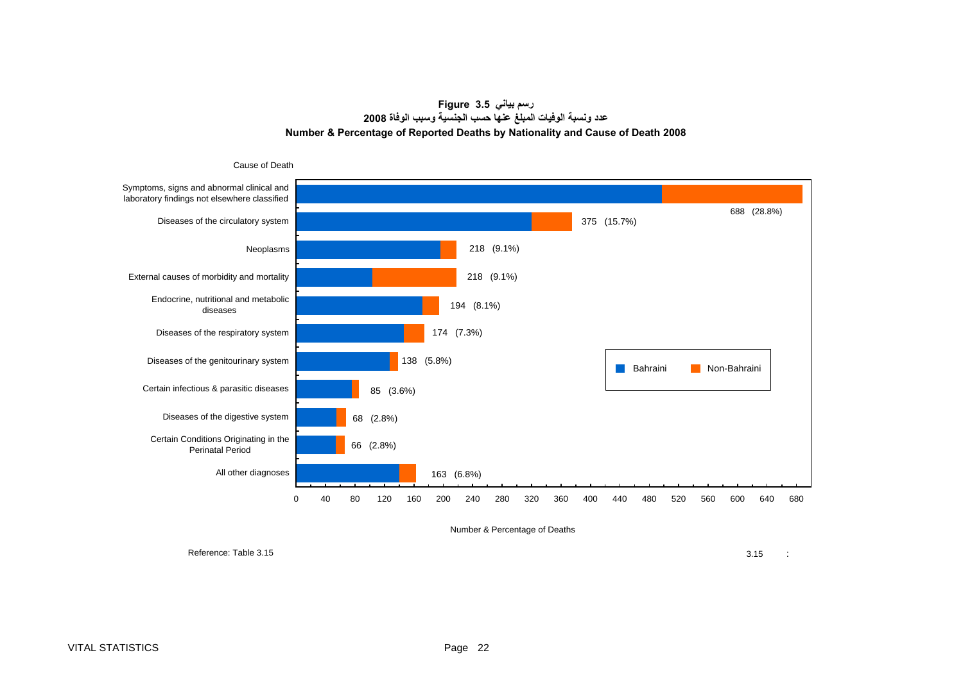**رسم بياني 3.5 Figure عدد ونسبة الوفيات المبلغ عنها حسب الجنسية وسبب الوفاة<sup>2008</sup> Number & Percentage of Reported Deaths by Nationality and Cause of Death 2008**

<span id="page-22-0"></span>

Number & Percentage of Deaths

Reference: Table 3.15

 $3.15$  :  $3.15$  :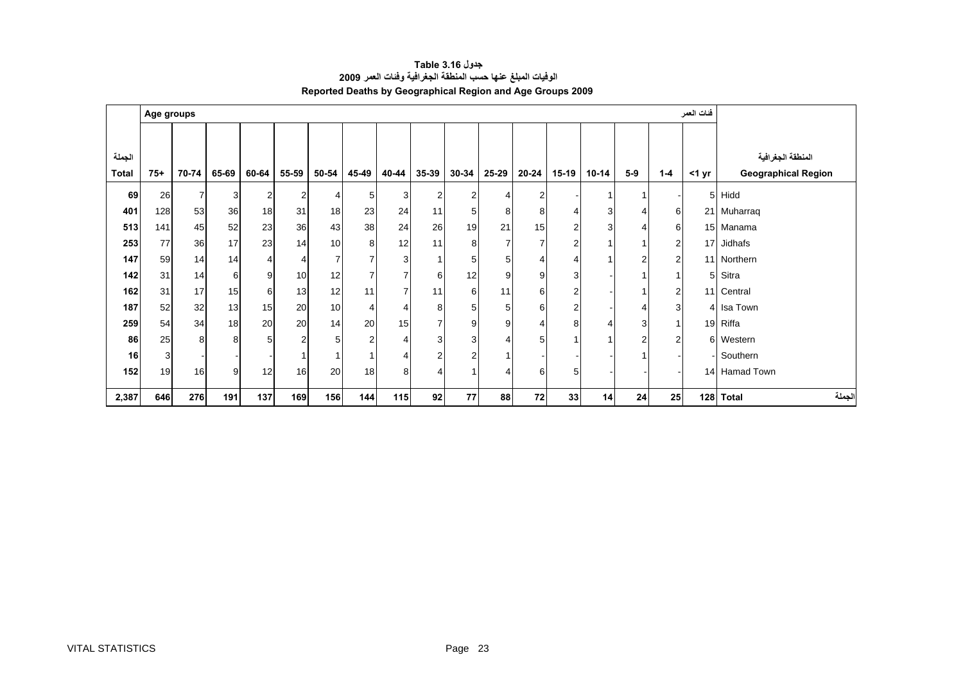<span id="page-23-0"></span>

|        | Age groups |                |       |       |                |                 |                |                |                 |       |                |                |                |                |                |                | فنات العمر     |                            |
|--------|------------|----------------|-------|-------|----------------|-----------------|----------------|----------------|-----------------|-------|----------------|----------------|----------------|----------------|----------------|----------------|----------------|----------------------------|
|        |            |                |       |       |                |                 |                |                |                 |       |                |                |                |                |                |                |                |                            |
| الجملة |            |                |       |       |                |                 |                |                |                 |       |                |                |                |                |                |                |                | المنطقة الجغرافية          |
| Total  | $75+$      | 70-74          | 65-69 | 60-64 | 55-59          | 50-54           | 45-49          | 40-44          | $35 - 39$       | 30-34 | 25-29          | $20 - 24$      | $15-19$        | $10 - 14$      | $5-9$          | $1 - 4$        | $<$ 1 yr       | <b>Geographical Region</b> |
| 69     | 26         | $\overline{7}$ | 3     | 2     | 2              |                 | 5              | 3              | 2               | 2     | $\overline{4}$ | 2              |                |                |                |                | 5 <sup>1</sup> | Hidd                       |
| 401    | 128        | 53             | 36    | 18    | 31             | 18              | 23             | 24             | 11              | 5     | 8              | 8              | 4              | 3 <sup>1</sup> | 4              | 6              |                | 21 Muharraq                |
| 513    | 141        | 45             | 52    | 23    | 36             | 43 <sub>1</sub> | 38             | 24             | 26              | 19    | 21             | 15             | 2 <sub>1</sub> | $\overline{3}$ | 4              | 6              |                | 15 Manama                  |
| 253    | 77         | 36             | 17    | 23    | 14             | 10              | 8              | 12             | 11              | 8     | $\overline{7}$ | $\overline{7}$ | $\overline{2}$ |                |                | $\overline{2}$ |                | 17 Jidhafs                 |
| 147    | 59         | 14             | 14    | 4     | 4              | $\overline{ }$  | $\overline{7}$ | 3              |                 | 5     | 5              | 4              | 4              |                | $\overline{2}$ | $\overline{2}$ |                | 11 Northern                |
| 142    | 31         | 14             | 6     | 9     | 10             | 12              | $\overline{7}$ | $\overline{7}$ | 6               | 12    | 9              | 9              | 3              |                |                | 1              | 51             | Sitra                      |
| 162    | 31         | 17             | 15    | 6     | 13             | 12              | 11             | $\overline{7}$ | 11              | 6     | 11             | 6              | 2              |                |                | $\overline{2}$ |                | 11 Central                 |
| 187    | 52         | 32             | 13    | 15    | 20             | 10              | 4              | 4              | 8               | 5     | 5              | 6              | 2              |                | 4              | 3              |                | 4 Isa Town                 |
| 259    | 54         | 34             | 18    | 20    | 20             | 14              | 20             | 15             |                 | 9     | 9              | 4              | 8              |                | 3              | 1              |                | 19 Riffa                   |
| 86     | 25         | 8              | 8     | 5     | $\overline{2}$ | 5               | $\overline{2}$ | 4              | 3               | 3     | $\overline{4}$ | 5              |                |                | 2              | $\overline{2}$ |                | 6 Western                  |
| 16     | 3          |                |       |       |                |                 | -1             | 4              | 2               | 2     |                |                |                |                |                |                |                | - Southern                 |
| 152    | 19         | 16             | 9     | 12    | 16             | 20              | 18             | 8              |                 |       | $\overline{4}$ | 6              | 5              |                |                |                |                | 14 Hamad Town              |
| 2,387  | 646        | 276            | 191   | 137   | 169            | 156             | 144            | 115            | 92 <sub>1</sub> | 77    | 88             | 72             | 33             | 14             | 24             | 25             |                | لجملة<br>128 Total         |

**جدول 3.16 Table الوفيات المبلغ عنها حسب المنطقة الجغرافية وفئات العمر <sup>2009</sup> Reported Deaths by Geographical Region and Age Groups 2009**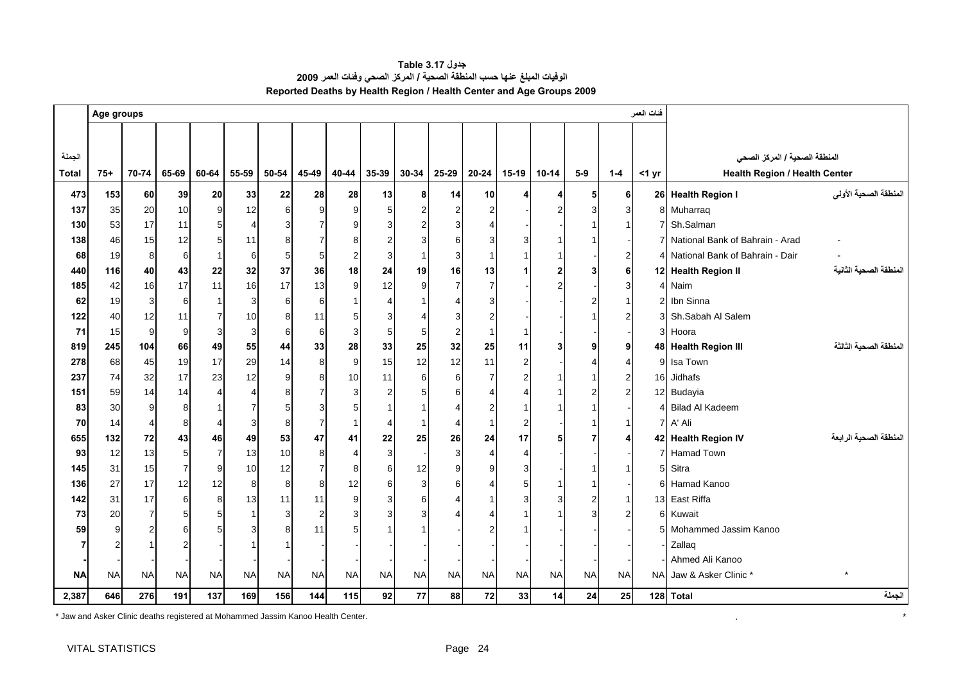<span id="page-24-0"></span>

|              | Age groups |                |                |                |                |           |                |                  |           |                |                |                |           |           |           |                | فنات العمر |                                      |                        |
|--------------|------------|----------------|----------------|----------------|----------------|-----------|----------------|------------------|-----------|----------------|----------------|----------------|-----------|-----------|-----------|----------------|------------|--------------------------------------|------------------------|
|              |            |                |                |                |                |           |                |                  |           |                |                |                |           |           |           |                |            |                                      |                        |
| الجملة       |            |                |                |                |                |           |                |                  |           |                |                |                |           |           |           |                |            |                                      |                        |
|              |            |                |                |                |                |           |                |                  |           |                |                |                |           |           |           |                |            | المنطقة الصحية / المركز الصحي        |                        |
| <b>Total</b> | $75+$      | 70-74          | 65-69          | 60-64          | 55-59          | 50-54     | 45-49          | 40-44            | 35-39     | $30 - 34$      | 25-29          | $20 - 24$      | $15-19$   | $10 - 14$ | $5-9$     | $1 - 4$        | $<$ 1 yr   | <b>Health Region / Health Center</b> |                        |
| 473          | 153        | 60             | 39             | 20             | 33             | 22        | 28             | 28               | 13        | 8              | 14             | 10             |           | Δ         | 5         | 6              |            | 26 Health Region I                   | المنطقة الصحية الأولى  |
| 137          | 35         | 20             | 10             | 9              | 12             | 6         | 9              | 9                | 5         | $\overline{2}$ | $\overline{2}$ | 2              |           |           | 3         | 3              |            | 8 Muharraq                           |                        |
| 130          | 53         | 17             | 11             | 5              | $\overline{4}$ | 3         | $\overline{7}$ | 9                | 3         | 2              |                |                |           |           |           |                |            | 7 Sh.Salman                          |                        |
| 138          | 46         | 15             | 12             | 5              | 11             | 8         | $\overline{7}$ | 8                |           | 3              | ี              |                |           |           |           |                |            | 7 National Bank of Bahrain - Arad    |                        |
| 68           | 19         | 8              | 6              | $\mathbf{1}$   | 6              | 5         | 5              | $\overline{c}$   | 3         |                |                |                |           |           |           | 2              |            | 4 National Bank of Bahrain - Dair    |                        |
| 440          | 116        | 40             | 43             | 22             | 32             | 37        | 36             | 18               | 24        | 19             | 16             | 13             |           |           |           | 6              |            | 12 Health Region II                  | المنطقة الصحية الثانية |
| 185          | 42         | 16             | 17             | 11             | 16             | 17        | 13             | $\overline{9}$   | 12        | 9              | 7              | 7              |           |           |           | 3              |            | 4 Naim                               |                        |
| 62           | 19         | 3              | 6              | $\mathbf{1}$   | 3              | 6         | 6              | $\mathbf{1}$     | 4         |                |                |                |           |           |           |                |            | 2 Ibn Sinna                          |                        |
| 122          | 40         | 12             | 11             | $\overline{7}$ | 10             | 8         | 11             | 5                | 3         | 4              |                |                |           |           |           | 2              |            | 3 Sh.Sabah Al Salem                  |                        |
| 71           | 15         | 9              | 9              | 3              | 3              | 6         | 6              | 3                | 5         | 5              |                |                |           |           |           |                |            | 3 Hoora                              |                        |
| 819          | 245        | 104            | 66             | 49             | 55             | 44        | 33             | 28               | 33        | 25             | 32             | 25             | 11        |           |           | 9              |            | 48 Health Region III                 | المنطقة الصحية الثالثة |
| 278          | 68         | 45             | 19             | 17             | 29             | 14        | 8              | 9                | 15        | 12             | 12             | 11             | 2         |           |           |                |            | 9 Isa Town                           |                        |
| 237          | 74         | 32             | 17             | 23             | 12             | 9         | 8              | 10               | 11        | 6              | 6              | $\overline{7}$ |           |           |           | $\overline{2}$ |            | 16 Jidhafs                           |                        |
| 151          | 59         | 14             | 14             | $\overline{4}$ | $\overline{4}$ | 8         | $\overline{7}$ | 3                | 2         | 5              | 6              |                |           |           |           | $\mathcal{P}$  |            | 12 Budayia                           |                        |
| 83           | 30         | 9              | 8              |                | $\overline{7}$ | 5         | 3              | 5                |           |                |                |                |           |           |           |                |            | 4 Bilad Al Kadeem                    |                        |
| 70           | 14         | $\overline{4}$ | 8              | 4              | 3              | 8         | $\overline{7}$ | $\mathbf{1}$     | 4         | $\mathbf{1}$   |                |                |           |           |           |                |            | 7 A' Ali                             |                        |
| 655          | 132        | 72             | 43             | 46             | 49             | 53        | 47             | 41               | 22        | 25             | 26             | 24             | 17        |           |           |                |            | 42 Health Region IV                  | المنطقة الصحية الرابعة |
| 93           | 12         | 13             | 5              | $\overline{7}$ | 13             | 10        | 8              | $\overline{4}$   | 3         |                | 3              |                |           |           |           |                |            | 7 Hamad Town                         |                        |
| 145          | 31         | 15             | $\overline{7}$ | 9              | 10             | 12        | $\overline{7}$ | 8                | 6         | 12             |                |                |           |           |           |                |            | 5 Sitra                              |                        |
| 136          | 27         | 17             | 12             | 12             | 8              | 8         | 8              | 12               | 6         | 3              | 6              |                |           |           |           |                |            | 6 Hamad Kanoo                        |                        |
| 142          | 31         | 17             | 6              | 8              | 13             | 11        | 11             | $\boldsymbol{9}$ | 3         | 6              |                |                |           |           |           |                |            | 13 East Riffa                        |                        |
| 73           | 20         | $\overline{7}$ | 5              | 5              |                | 3         | $\overline{2}$ | 3                |           | 3              |                |                |           |           |           |                |            | 6 Kuwait                             |                        |
| 59           | 9          | $\overline{2}$ | 6              | 5              | 3              | 8         | 11             | 5                |           |                |                |                |           |           |           |                |            | 5 Mohammed Jassim Kanoo              |                        |
|              |            |                | 2              |                |                |           |                |                  |           |                |                |                |           |           |           |                |            | Zallaq                               |                        |
|              |            |                |                |                |                |           |                |                  |           |                |                |                |           |           |           |                |            | Ahmed Ali Kanoo                      |                        |
| <b>NA</b>    | <b>NA</b>  | <b>NA</b>      | <b>NA</b>      | <b>NA</b>      | <b>NA</b>      | <b>NA</b> | <b>NA</b>      | <b>NA</b>        | <b>NA</b> | <b>NA</b>      | <b>NA</b>      | <b>NA</b>      | <b>NA</b> | <b>NA</b> | <b>NA</b> | <b>NA</b>      | <b>NAI</b> | Jaw & Asker Clinic*                  |                        |
| 2,387        | 646        | 276            | 191            | 137            | 169            | 156       | 144            | $115$            | 92        | 77             | 88             | ${\bf 72}$     | 33        | 14        | 24        | 25             |            | 128 Total                            | الجملة                 |

**جدول 3.17 Table الوفيات المبلغ عنها حسب المنطقة الصحية / المرآز الصحي وفئات العمر <sup>2009</sup> Reported Deaths by Health Region / Health Center and Age Groups 2009** 

\* Jaw and Asker Clinic deaths registered at Mohammed Jassim Kanoo Health Center. . \*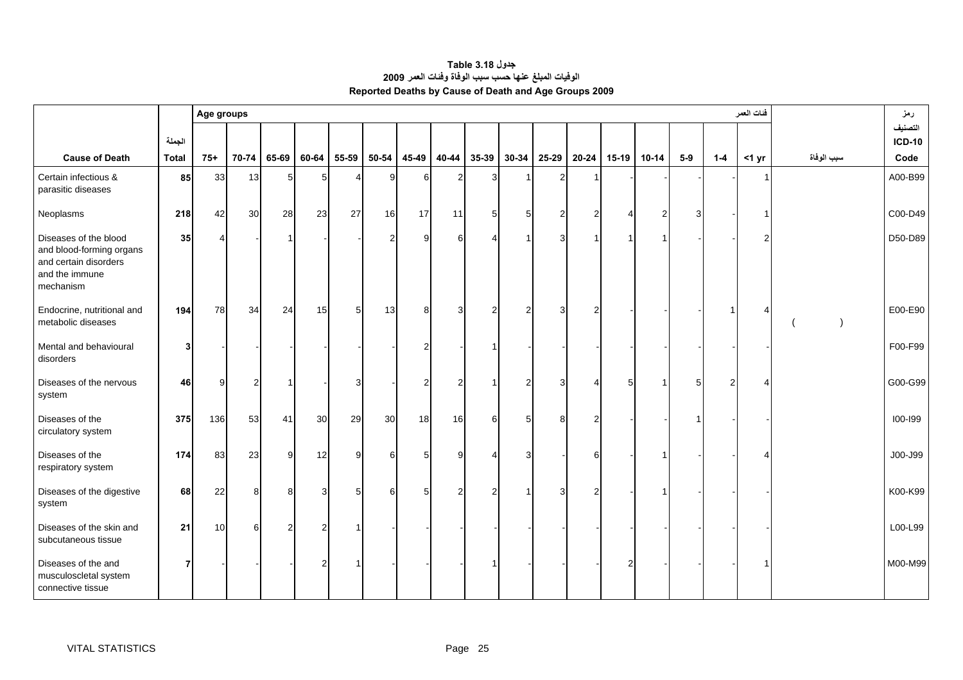<span id="page-25-0"></span>

|                                                                                                           |                        | Age groups   |          |       |                |       |           |                 |                |                |       |       |                |         |           |       |                | فنات العمر |            | رمز                              |
|-----------------------------------------------------------------------------------------------------------|------------------------|--------------|----------|-------|----------------|-------|-----------|-----------------|----------------|----------------|-------|-------|----------------|---------|-----------|-------|----------------|------------|------------|----------------------------------|
| <b>Cause of Death</b>                                                                                     | الجملة<br><b>Total</b> | $75+$        | 70-74    | 65-69 | 60-64          | 55-59 | $50 - 54$ | 45-49           | 40-44          | 35-39          | 30-34 | 25-29 | $20 - 24$      | $15-19$ | $10 - 14$ | $5-9$ | $1-4$          | $<$ 1 yr   | سبب الوفاة | التصنيف<br><b>ICD-10</b><br>Code |
| Certain infectious &<br>parasitic diseases                                                                | 85                     | 33           | 13       | 5     | 5              | Δ     |           | 6               | 2              | 3              |       | 2     |                |         |           |       |                |            |            | A00-B99                          |
| Neoplasms                                                                                                 | 218                    | 42           | 30       | 28    | 23             | 27    | 16        | 17              | 11             | 5 <sup>5</sup> |       | 2     | $\overline{2}$ |         | 2         | 3     |                |            |            | C00-D49                          |
| Diseases of the blood<br>and blood-forming organs<br>and certain disorders<br>and the immune<br>mechanism | 35                     | 4            |          |       |                |       |           | 9               | 6              | $\overline{4}$ |       | 3     | $\mathbf{1}$   |         | 1         |       |                | 2          |            | D50-D89                          |
| Endocrine, nutritional and<br>metabolic diseases                                                          | 194                    | <b>78</b>    | 34       | 24    | 15             | 5     | 13        | 8               | 3              | 2              |       | 3     |                |         |           |       |                |            |            | E00-E90                          |
| Mental and behavioural<br>disorders                                                                       | 3                      |              |          |       |                |       |           | $\overline{2}$  |                |                |       |       |                |         |           |       |                |            |            | F00-F99                          |
| Diseases of the nervous<br>system                                                                         | 46                     | $\mathbf{Q}$ | 2        |       |                | 3     |           | $\overline{2}$  | $\overline{2}$ |                |       | 3     | $\Delta$       | 5       |           | 5     | $\mathfrak{p}$ |            |            | G00-G99                          |
| Diseases of the<br>circulatory system                                                                     | 375                    | 136          | 53       | 41    | 30             | 29    | 30        | 18              | 16             | 6              |       | 8     |                |         |           |       |                |            |            | 100-199                          |
| Diseases of the<br>respiratory system                                                                     | 174                    | 83           | 23       | 9     | 12             | 9     | 6         | $5\phantom{.0}$ | 9              | 4              |       |       | 6              |         |           |       |                |            |            | J00-J99                          |
| Diseases of the digestive<br>system                                                                       | 68                     | 22           | 8        | Я     | 3              | 5     | ิค        | 5               | $\overline{2}$ | $\overline{a}$ |       | 3     |                |         |           |       |                |            |            | K00-K99                          |
| Diseases of the skin and<br>subcutaneous tissue                                                           | 21                     | 10           | $6 \mid$ | 2     | $\overline{2}$ |       |           |                 |                |                |       |       |                |         |           |       |                |            |            | L00-L99                          |
| Diseases of the and<br>musculoscletal system<br>connective tissue                                         | 7                      |              |          |       | $\overline{2}$ |       |           |                 |                |                |       |       |                |         |           |       |                |            |            | M00-M99                          |

#### **جدول 3.18 Table الوفيات المبلغ عنها حسب سبب الوفاة وفئات العمر <sup>2009</sup> Reported Deaths by Cause of Death and Age Groups 2009**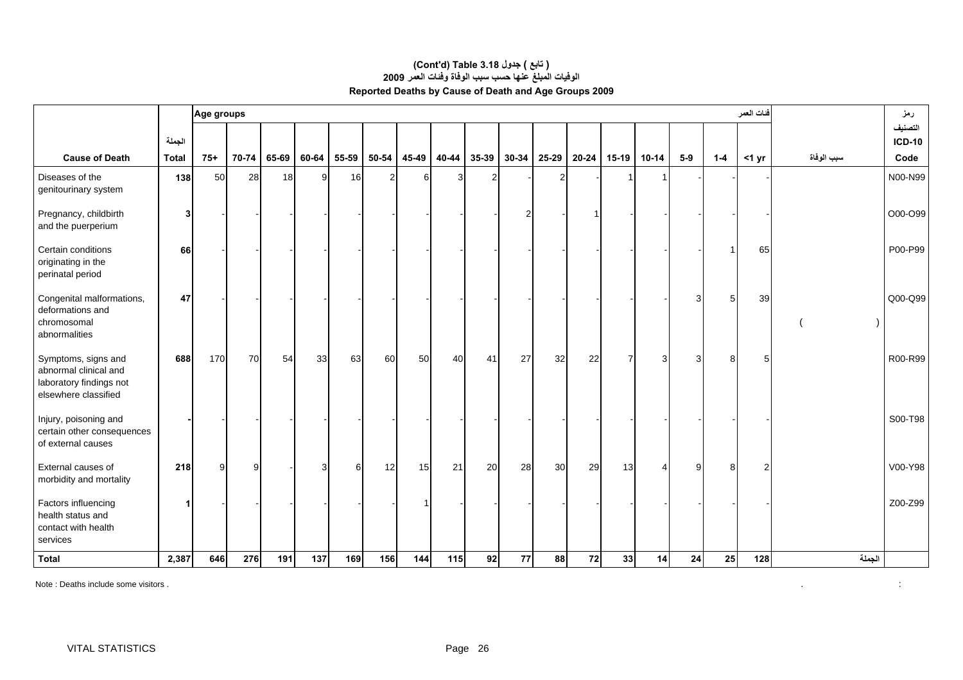#### **الوفيات المبلغ عنها حسب سبب الوفاة وفئات العمر <sup>2009</sup> Reported Deaths by Cause of Death and Age Groups 2009 (Cont'd) Table 3.18 جدول ) تابع(**

|                                                                                                 |              | Age groups |       |       |       |       |                |       |       |       |       |                |       |         |                       |       |       | فنات العمر    |            | رمز                      |
|-------------------------------------------------------------------------------------------------|--------------|------------|-------|-------|-------|-------|----------------|-------|-------|-------|-------|----------------|-------|---------|-----------------------|-------|-------|---------------|------------|--------------------------|
|                                                                                                 | الجملة       |            |       |       |       |       |                |       |       |       |       |                |       |         |                       |       |       |               |            | التصنيف<br><b>ICD-10</b> |
| <b>Cause of Death</b>                                                                           | <b>Total</b> | $75+$      | 70-74 | 65-69 | 60-64 | 55-59 | $50 - 54$      | 45-49 | 40-44 | 35-39 | 30-34 | 25-29          | 20-24 | $15-19$ | $10 - 14$             | $5-9$ | $1-4$ | $<$ 1 yr      | سبب الوفاة | Code                     |
| Diseases of the<br>genitourinary system                                                         | 138          | 50         | 28    | 18    | 9     | 16    | $\overline{2}$ | 6     | 3     | 2     |       | $\overline{2}$ |       |         |                       |       |       |               |            | N00-N99                  |
| Pregnancy, childbirth<br>and the puerperium                                                     | 3            |            |       |       |       |       |                |       |       |       |       |                |       |         |                       |       |       |               |            | O00-O99                  |
| Certain conditions<br>originating in the<br>perinatal period                                    | 66           |            |       |       |       |       |                |       |       |       |       |                |       |         |                       |       |       | 65            |            | P00-P99                  |
| Congenital malformations,<br>deformations and<br>chromosomal<br>abnormalities                   | 47           |            |       |       |       |       |                |       |       |       |       |                |       |         |                       | 3     |       | 39            |            | Q00-Q99                  |
| Symptoms, signs and<br>abnormal clinical and<br>laboratory findings not<br>elsewhere classified | 688          | 170        | 70    | 54    | 33    | 63    | 60             | 50    | 40    | 41    | 27    | 32             | 22    |         | 3                     | 3     |       | 5             |            | R00-R99                  |
| Injury, poisoning and<br>certain other consequences<br>of external causes                       |              |            |       |       |       |       |                |       |       |       |       |                |       |         |                       |       |       |               |            | S00-T98                  |
| External causes of<br>morbidity and mortality                                                   | 218          | 9          | 9     |       | 3     | 6     | 12             | 15    | 21    | 20    | 28    | 30             | 29    | 13      | $\boldsymbol{\Delta}$ | 9     | 8     | $\mathcal{D}$ |            | V00-Y98                  |
| Factors influencing<br>health status and<br>contact with health<br>services                     |              |            |       |       |       |       |                |       |       |       |       |                |       |         |                       |       |       |               |            | Z00-Z99                  |
| <b>Total</b>                                                                                    | 2,387        | 646        | 276   | 191   | 137   | 169   | 156            | 144   | 115   | 92    | 77    | 88             | 72    | 33      | 14                    | 24    | 25    | 128           | الجملة     |                          |

Note : Deaths include some visitors .

 $\mathcal{L}(\mathcal{L}^{\mathcal{L}})$  and  $\mathcal{L}(\mathcal{L}^{\mathcal{L}})$  and  $\mathcal{L}(\mathcal{L}^{\mathcal{L}})$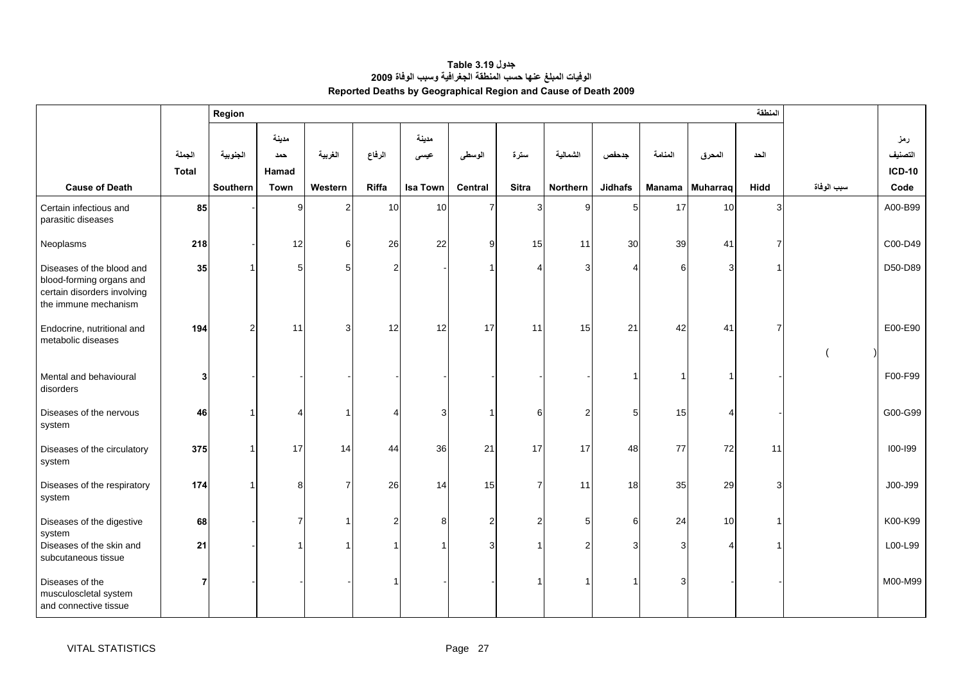<span id="page-27-0"></span>

|                                                                                                              |                        | Region         |                       |                |                       |                 |                |                |                |                |         |                        | المنطقة |            |                                 |
|--------------------------------------------------------------------------------------------------------------|------------------------|----------------|-----------------------|----------------|-----------------------|-----------------|----------------|----------------|----------------|----------------|---------|------------------------|---------|------------|---------------------------------|
|                                                                                                              | الجملة<br><b>Total</b> | الجنوبية       | مدينة<br>حمد<br>Hamad | الغربية        | الرفاع                | مدينة<br>عيسى   | الوسطى         | سترة           | الشمالية       | جدحفص          | المنامة | المحرق                 | الحد    |            | رمز<br>التصنيف<br><b>ICD-10</b> |
| <b>Cause of Death</b>                                                                                        |                        | Southern       | Town                  | Western        | Riffa                 | <b>Isa Town</b> | <b>Central</b> | <b>Sitra</b>   | Northern       | <b>Jidhafs</b> |         | Manama Muharraq        | Hidd    | سبب الوفاة | Code                            |
| Certain infectious and<br>parasitic diseases                                                                 | 85                     |                | 9                     | $\overline{2}$ | 10                    | 10              | $\overline{7}$ | 3              | 9              | 5              | 17      | 10                     | 3       |            | A00-B99                         |
| Neoplasms                                                                                                    | 218                    |                | 12                    | 6              | 26                    | 22              | 9              | 15             | 11             | 30             | 39      | 41                     |         |            | C00-D49                         |
| Diseases of the blood and<br>blood-forming organs and<br>certain disorders involving<br>the immune mechanism | 35                     |                | $\sqrt{5}$            | 5              | $\overline{2}$        |                 |                | Δ              | 3              | $\overline{4}$ | 6       | 3                      |         |            | D50-D89                         |
| Endocrine, nutritional and<br>metabolic diseases                                                             | 194                    | $\overline{2}$ | 11                    | 3              | 12                    | 12              | 17             | 11             | 15             | 21             | 42      | 41                     |         |            | E00-E90                         |
| Mental and behavioural<br>disorders                                                                          | $\mathbf{3}$           |                |                       |                |                       |                 |                |                |                | 1              | 1       |                        |         |            | F00-F99                         |
| Diseases of the nervous<br>system                                                                            | 46                     |                | 4                     | 1              | $\boldsymbol{\Delta}$ | 3               | 1              | 6              | $\overline{2}$ | 5              | 15      | Δ                      |         |            | G00-G99                         |
| Diseases of the circulatory<br>system                                                                        | 375                    |                | 17                    | 14             | 44                    | 36              | 21             | 17             | 17             | 48             | 77      | 72                     | 11      |            | 100-199                         |
| Diseases of the respiratory<br>system                                                                        | 174                    |                | 8                     | $\overline{7}$ | 26                    | 14              | 15             | $\overline{7}$ | 11             | 18             | 35      | 29                     | 3       |            | J00-J99                         |
| Diseases of the digestive<br>system                                                                          | 68                     |                | $\overline{7}$        | 1              | $\overline{2}$        | 8               | $\overline{2}$ | $\overline{2}$ | 5              | 6              | 24      | 10                     |         |            | K00-K99                         |
| Diseases of the skin and<br>subcutaneous tissue                                                              | 21                     |                | $\overline{1}$        | $\overline{1}$ | $\overline{1}$        | $\overline{1}$  | 3              | 1              | $\overline{2}$ | 3              | 3       | $\boldsymbol{\Lambda}$ |         |            | L00-L99                         |
| Diseases of the<br>musculoscletal system<br>and connective tissue                                            | 7                      |                |                       |                |                       |                 |                |                |                |                |         |                        |         |            | M00-M99                         |

**جدول 3.19 Table الوفيات المبلغ عنها حسب المنطقة الجغرافية وسبب الوفاة <sup>2009</sup> Reported Deaths by Geographical Region and Cause of Death 2009**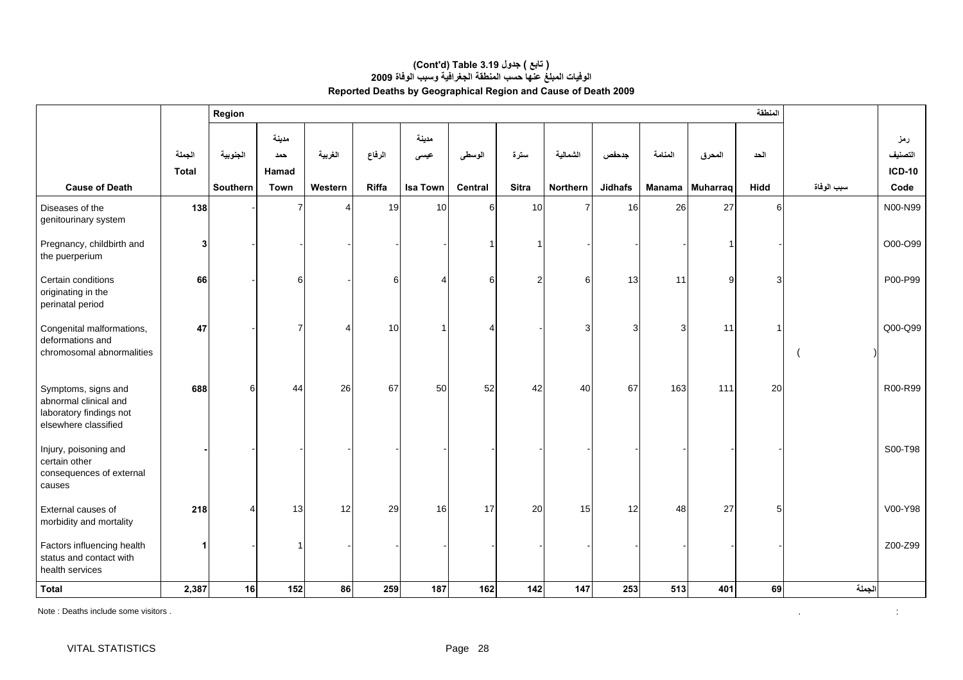|                                                                                                 |                        | Region               |                                      |                    |                 |                                  |                   |                      |                      |                         |         |                           | المنطقة      |            |                                         |
|-------------------------------------------------------------------------------------------------|------------------------|----------------------|--------------------------------------|--------------------|-----------------|----------------------------------|-------------------|----------------------|----------------------|-------------------------|---------|---------------------------|--------------|------------|-----------------------------------------|
| <b>Cause of Death</b>                                                                           | الجملة<br><b>Total</b> | الجنوبية<br>Southern | مدينة<br>حمد<br><b>Hamad</b><br>Town | الغربية<br>Western | الرفاع<br>Riffa | مدينة<br>عیسی<br><b>Isa Town</b> | الوسطى<br>Central | سترة<br><b>Sitra</b> | الشمالية<br>Northern | جدحفص<br><b>Jidhafs</b> | المنامة | المحرق<br>Manama Muharraq | الحد<br>Hidd | سبب الوفاة | رمز<br>التصنيف<br><b>ICD-10</b><br>Code |
| Diseases of the<br>genitourinary system                                                         | 138                    |                      |                                      |                    | 19              | 10                               | 6                 | 10                   | $\overline{7}$       | 16                      | 26      | 27                        | 6            |            | N00-N99                                 |
| Pregnancy, childbirth and<br>the puerperium                                                     | 3                      |                      |                                      |                    |                 |                                  |                   | 1                    |                      |                         |         |                           |              |            | O00-O99                                 |
| Certain conditions<br>originating in the<br>perinatal period                                    | 66                     |                      | 6                                    |                    | 6               | $\boldsymbol{\Delta}$            | 6                 | $\overline{2}$       | 6                    | 13                      | 11      | 9                         | 3            |            | P00-P99                                 |
| Congenital malformations,<br>deformations and<br>chromosomal abnormalities                      | 47                     |                      | $\overline{7}$                       |                    | 10              |                                  | Δ                 |                      | 3                    | 3                       | 3       | 11                        |              |            | Q00-Q99                                 |
| Symptoms, signs and<br>abnormal clinical and<br>laboratory findings not<br>elsewhere classified | 688                    | 6                    | 44                                   | 26                 | 67              | 50                               | 52                | 42                   | 40                   | 67                      | 163     | 111                       | 20           |            | R00-R99                                 |
| Injury, poisoning and<br>certain other<br>consequences of external<br>causes                    |                        |                      |                                      |                    |                 |                                  |                   |                      |                      |                         |         |                           |              |            | S00-T98                                 |
| External causes of<br>morbidity and mortality                                                   | 218                    | 4                    | 13                                   | 12                 | 29              | 16                               | 17                | 20                   | 15                   | 12                      | 48      | 27                        | 5            |            | V00-Y98                                 |
| Factors influencing health<br>status and contact with<br>health services                        |                        |                      |                                      |                    |                 |                                  |                   |                      |                      |                         |         |                           |              |            | Z00-Z99                                 |
| <b>Total</b>                                                                                    | 2,387                  | 16                   | 152                                  | 86                 | 259             | 187                              | 162               | 142                  | 147                  | 253                     | 513     | 401                       | 69           | الجملة     |                                         |

#### **الوفيات المبلغ عنها حسب المنطقة الجغرافية وسبب الوفاة <sup>2009</sup> Reported Deaths by Geographical Region and Cause of Death 2009 (Cont'd) Table 3.19 جدول ) تابع(**

Note : Deaths include some visitors .

 $\pm$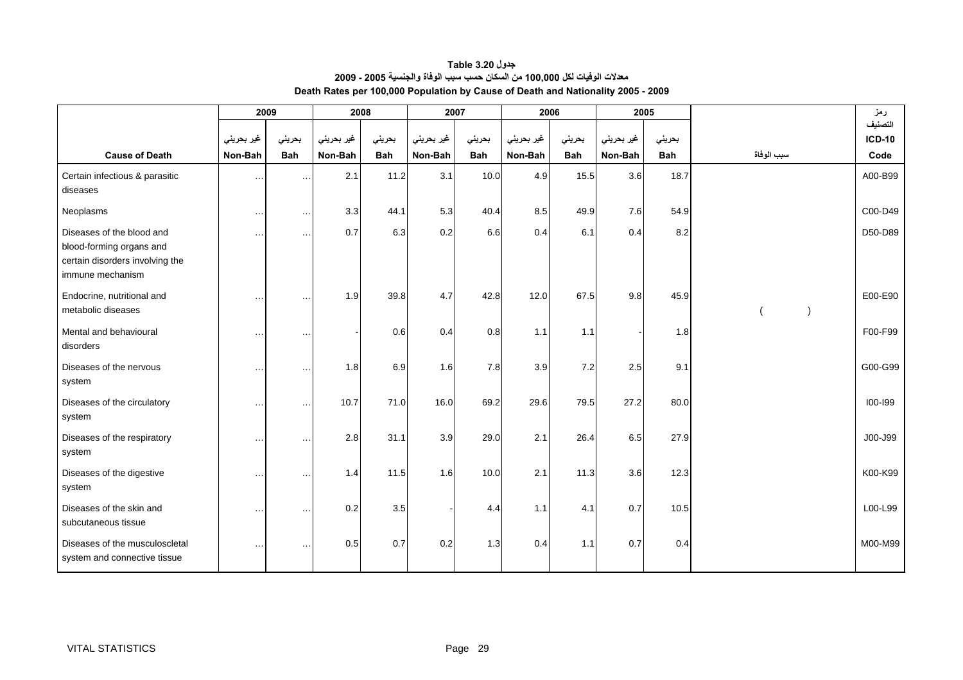| جدول Table 3.20                                                                  |
|----------------------------------------------------------------------------------|
| معدلات الوفيات لكل 100,000 من السكان حسب سبب الوفاة والجنسية 2005 - 2009         |
| Death Rates per 100,000 Population by Cause of Death and Nationality 2005 - 2009 |

<span id="page-29-0"></span>

|                                                                                                              | 2009                 |            | 2008       |            | 2007       |            | 2006       |            | 2005       |            |            | رمز           |
|--------------------------------------------------------------------------------------------------------------|----------------------|------------|------------|------------|------------|------------|------------|------------|------------|------------|------------|---------------|
|                                                                                                              |                      |            |            |            |            |            |            |            |            |            |            | التصنيف       |
|                                                                                                              | غير بحريني           | بحريني     | غير بحريني | بحريني     | غير بحريني | بحريني     | غير بحريني | بحريني     | غير بحريني | بحريني     |            | <b>ICD-10</b> |
| <b>Cause of Death</b>                                                                                        | Non-Bah              | <b>Bah</b> | Non-Bah    | <b>Bah</b> | Non-Bah    | <b>Bah</b> | Non-Bah    | <b>Bah</b> | Non-Bah    | <b>Bah</b> | سبب الوفاة | Code          |
| Certain infectious & parasitic<br>diseases                                                                   | $\ldots$             | $\ddotsc$  | 2.1        | 11.2       | 3.1        | 10.0       | 4.9        | 15.5       | 3.6        | 18.7       |            | A00-B99       |
| Neoplasms                                                                                                    | $\cdots$             | $\cdots$   | 3.3        | 44.1       | 5.3        | 40.4       | 8.5        | 49.9       | 7.6        | 54.9       |            | C00-D49       |
| Diseases of the blood and<br>blood-forming organs and<br>certain disorders involving the<br>immune mechanism | $\sim$ - $\sim$      | $\ddotsc$  | 0.7        | 6.3        | 0.2        | 6.6        | 0.4        | 6.1        | 0.4        | 8.2        |            | D50-D89       |
| Endocrine, nutritional and<br>metabolic diseases                                                             | $\sim$ $\sim$ $\sim$ | $\ddotsc$  | 1.9        | 39.8       | 4.7        | 42.8       | 12.0       | 67.5       | 9.8        | 45.9       |            | E00-E90       |
| Mental and behavioural<br>disorders                                                                          | $\cdots$             | $\ddotsc$  |            | 0.6        | 0.4        | 0.8        | 1.1        | 1.1        |            | 1.8        |            | F00-F99       |
| Diseases of the nervous<br>system                                                                            | $\cdots$             | $\ddotsc$  | 1.8        | 6.9        | 1.6        | 7.8        | 3.9        | 7.2        | 2.5        | 9.1        |            | G00-G99       |
| Diseases of the circulatory<br>system                                                                        | $\cdots$             | $\ddotsc$  | 10.7       | 71.0       | 16.0       | 69.2       | 29.6       | 79.5       | 27.2       | 80.0       |            | $100 - 199$   |
| Diseases of the respiratory<br>system                                                                        | $\sim$               | $\cdots$   | 2.8        | 31.1       | 3.9        | 29.0       | 2.1        | 26.4       | 6.5        | 27.9       |            | J00-J99       |
| Diseases of the digestive<br>system                                                                          | $\sim$ $\sim$        | $\ddotsc$  | 1.4        | 11.5       | 1.6        | 10.0       | 2.1        | 11.3       | 3.6        | 12.3       |            | K00-K99       |
| Diseases of the skin and<br>subcutaneous tissue                                                              | $\sim$ - $\sim$      | $\ddotsc$  | 0.2        | 3.5        |            | 4.4        | 1.1        | 4.1        | 0.7        | 10.5       |            | L00-L99       |
| Diseases of the musculoscletal<br>system and connective tissue                                               | $\sim$ $\sim$ $\sim$ | $\cdots$   | 0.5        | 0.7        | 0.2        | 1.3        | 0.4        | 1.1        | 0.7        | 0.4        |            | M00-M99       |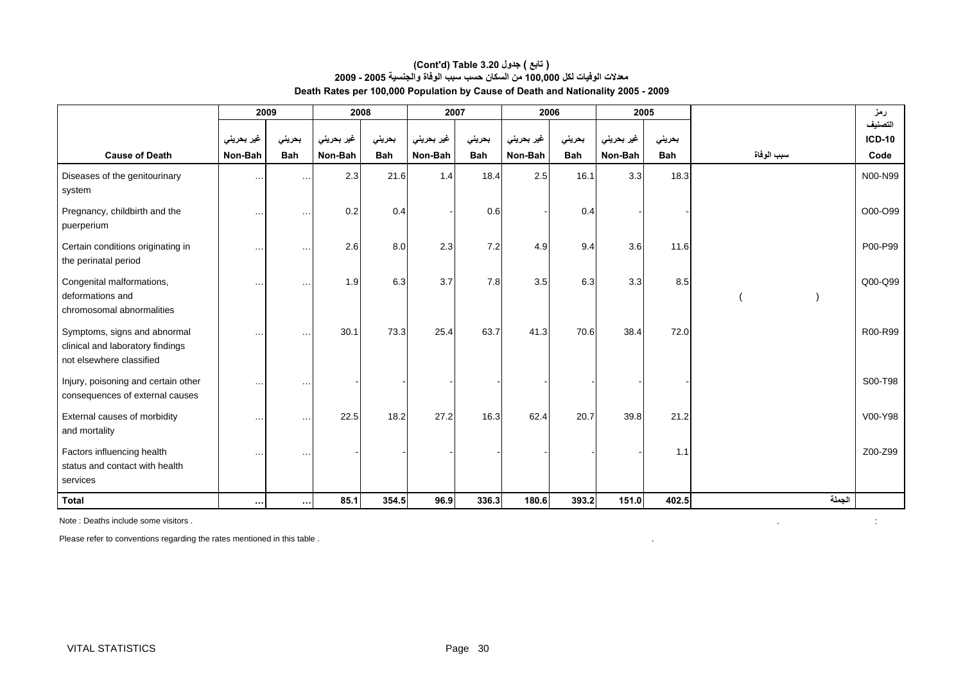#### **معدلات الوفيات لكل 100,000 من السكان حسب سبب الوفاة والجنسية 2005 - 2009 Death Rates per 100,000 Population by Cause of Death and Nationality 2005 - 2009 (Cont'd) Table 3.20 جدول ) تابع(**

|                                                                                              | 2009       |            | 2008       |            | 2007       |            | 2006       |            | 2005       |            |            | رمز                      |
|----------------------------------------------------------------------------------------------|------------|------------|------------|------------|------------|------------|------------|------------|------------|------------|------------|--------------------------|
|                                                                                              | غير بحريني | بحرينى     | غیر بحرینی | بحرينى     | غیر بحرینی | بحرينى     | غير بحريني | بحريني     | غیر بحرینی | بحرينى     |            | التصنيف<br><b>ICD-10</b> |
| <b>Cause of Death</b>                                                                        | Non-Bah    | <b>Bah</b> | Non-Bah    | <b>Bah</b> | Non-Bah    | <b>Bah</b> | Non-Bah    | <b>Bah</b> | Non-Bah    | <b>Bah</b> | سبب الوفاة | Code                     |
| Diseases of the genitourinary<br>system                                                      | $\cdots$   | $\cdots$   | 2.3        | 21.6       | 1.4        | 18.4       | 2.5        | 16.1       | 3.3        | 18.3       |            | N00-N99                  |
| Pregnancy, childbirth and the<br>puerperium                                                  | $\cdots$   | $\ddotsc$  | 0.2        | 0.4        |            | 0.6        |            | 0.4        |            |            |            | O00-O99                  |
| Certain conditions originating in<br>the perinatal period                                    | $\cdots$   | $\ddotsc$  | 2.6        | 8.0        | 2.3        | 7.2        | 4.9        | 9.4        | 3.6        | 11.6       |            | P00-P99                  |
| Congenital malformations,<br>deformations and<br>chromosomal abnormalities                   | $\cdots$   | $\ddotsc$  | 1.9        | 6.3        | 3.7        | 7.8        | 3.5        | 6.3        | 3.3        | 8.5        |            | Q00-Q99                  |
| Symptoms, signs and abnormal<br>clinical and laboratory findings<br>not elsewhere classified | $\cdots$   | $\ddotsc$  | 30.1       | 73.3       | 25.4       | 63.7       | 41.3       | 70.6       | 38.4       | 72.0       |            | R00-R99                  |
| Injury, poisoning and certain other<br>consequences of external causes                       | $\cdots$   | $\cdots$   |            |            |            |            |            |            |            |            |            | S00-T98                  |
| External causes of morbidity<br>and mortality                                                | $\cdots$   | $\ddotsc$  | 22.5       | 18.2       | 27.2       | 16.3       | 62.4       | 20.7       | 39.8       | 21.2       |            | V00-Y98                  |
| Factors influencing health<br>status and contact with health<br>services                     | $\cdots$   | $\ddotsc$  |            |            |            |            |            |            |            | 1.1        |            | Z00-Z99                  |
| <b>Total</b>                                                                                 | $\cdots$   | $\cdots$   | 85.1       | 354.5      | 96.9       | 336.3      | 180.6      | 393.2      | 151.0      | 402.5      | الجملة     |                          |

Note : Deaths include some visitors . . :

Please refer to conventions regarding the rates mentioned in this table .  $\blacksquare$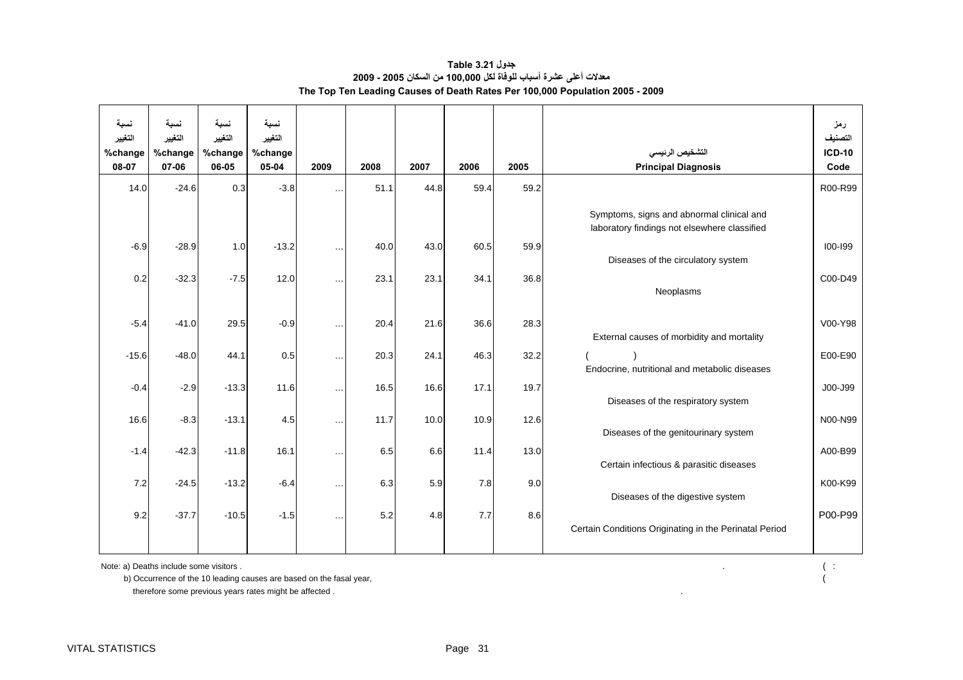| جدول Table 3.21                                                              |
|------------------------------------------------------------------------------|
| معدلات أعلى عشرة أسباب للوفاة لكل 100.000 من السكان 2005 - 2009              |
| The Top Ten Leading Causes of Death Rates Per 100,000 Population 2005 - 2009 |

<span id="page-31-0"></span>

| نسىة<br>التغيير | نسىة<br>التغيير | نسبة<br>التغيير | نسبة<br>التغيير |           |      |      |      |      |                                                                                           | رمز<br>التصنيف                   |
|-----------------|-----------------|-----------------|-----------------|-----------|------|------|------|------|-------------------------------------------------------------------------------------------|----------------------------------|
| %change         | %change         | %change         | %change         |           |      |      |      |      | التشخيص الرئيسى                                                                           | <b>ICD-10</b>                    |
| 08-07           | 07-06           | 06-05           | 05-04           | 2009      | 2008 | 2007 | 2006 | 2005 | <b>Principal Diagnosis</b>                                                                | Code                             |
| 14.0            | $-24.6$         | 0.3             | $-3.8$          | $\ddotsc$ | 51.1 | 44.8 | 59.4 | 59.2 |                                                                                           | R00-R99                          |
|                 |                 |                 |                 |           |      |      |      |      | Symptoms, signs and abnormal clinical and<br>laboratory findings not elsewhere classified |                                  |
|                 |                 |                 |                 |           |      |      |      |      |                                                                                           |                                  |
| $-6.9$          | $-28.9$         | 1.0             | $-13.2$         | $\ddotsc$ | 40.0 | 43.0 | 60.5 | 59.9 | Diseases of the circulatory system                                                        | $100 - 199$                      |
|                 |                 |                 |                 |           |      |      |      |      |                                                                                           |                                  |
| 0.2             | $-32.3$         | $-7.5$          | 12.0            | $\ddotsc$ | 23.1 | 23.1 | 34.1 | 36.8 | Neoplasms                                                                                 | C <sub>00</sub> -D <sub>49</sub> |
|                 |                 |                 |                 |           |      |      |      |      |                                                                                           |                                  |
| $-5.4$          | $-41.0$         | 29.5            | $-0.9$          | $\ddotsc$ | 20.4 | 21.6 | 36.6 | 28.3 |                                                                                           | V00-Y98                          |
|                 |                 |                 |                 |           |      |      |      |      | External causes of morbidity and mortality                                                |                                  |
| $-15.6$         | $-48.0$         | 44.1            | 0.5             | $\ddotsc$ | 20.3 | 24.1 | 46.3 | 32.2 |                                                                                           | E00-E90                          |
|                 |                 |                 |                 |           |      |      |      |      | Endocrine, nutritional and metabolic diseases                                             |                                  |
| $-0.4$          | $-2.9$          | $-13.3$         | 11.6            | $\ddotsc$ | 16.5 | 16.6 | 17.1 | 19.7 |                                                                                           | J00-J99                          |
|                 |                 |                 |                 |           |      |      |      |      | Diseases of the respiratory system                                                        |                                  |
| 16.6            | $-8.3$          | $-13.1$         | 4.5             | $\ddotsc$ | 11.7 | 10.0 | 10.9 | 12.6 |                                                                                           | N00-N99                          |
|                 |                 |                 |                 |           |      |      |      |      | Diseases of the genitourinary system                                                      |                                  |
| $-1.4$          | $-42.3$         | $-11.8$         | 16.1            | $\ddotsc$ | 6.5  | 6.6  | 11.4 | 13.0 |                                                                                           | A00-B99                          |
|                 |                 |                 |                 |           |      |      |      |      | Certain infectious & parasitic diseases                                                   |                                  |
| 7.2             | $-24.5$         | $-13.2$         | $-6.4$          | $\ddotsc$ | 6.3  | 5.9  | 7.8  | 9.0  |                                                                                           | K00-K99                          |
|                 |                 |                 |                 |           |      |      |      |      | Diseases of the digestive system                                                          |                                  |
| 9.2             | $-37.7$         | $-10.5$         | $-1.5$          | $\ddotsc$ | 5.2  | 4.8  | 7.7  | 8.6  |                                                                                           | P00-P99                          |
|                 |                 |                 |                 |           |      |      |      |      | Certain Conditions Originating in the Perinatal Period                                    |                                  |
|                 |                 |                 |                 |           |      |      |      |      |                                                                                           |                                  |

Note: a) Deaths include some visitors . ( : <br>
b) Occurrence of the 10 leading causes are based on the fasal year, ( ( ) b) Occurrence of the 10 leading causes are based on the fasal year,

therefore some previous years rates might be affected .  $\blacksquare$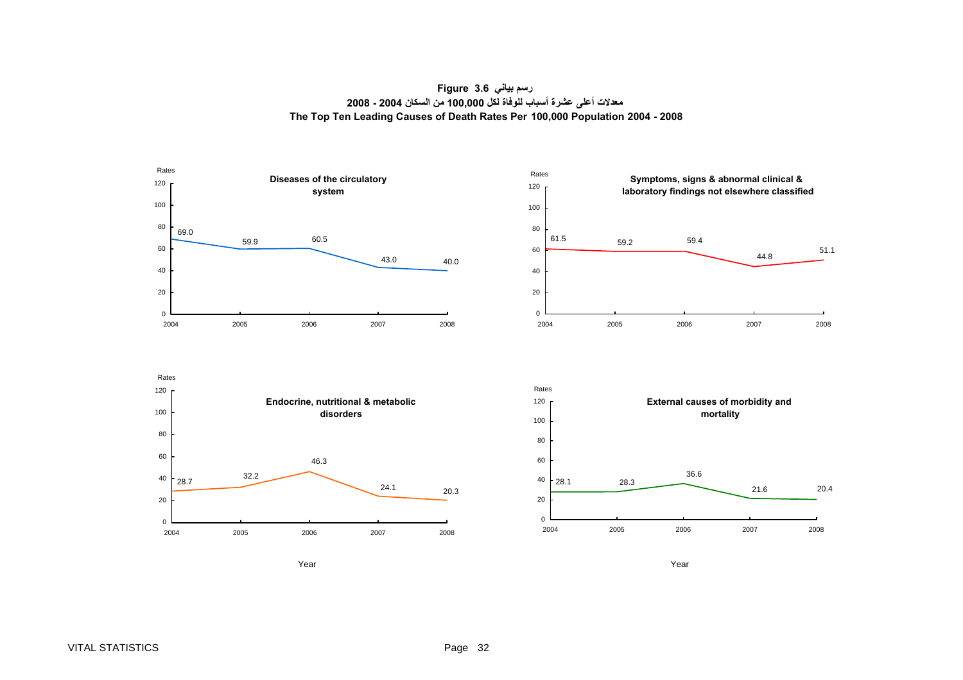**رسم بياني 3.6 Figure معدلات أعلى عشرة أسباب للوفاة لكل 100,000 من السكان 2004 - 2008 The Top Ten Leading Causes of Death Rates Per 100,000 Population 2004 - 2008**

<span id="page-32-0"></span>







r and the control of the control of the control of the control of the control of the control of the control of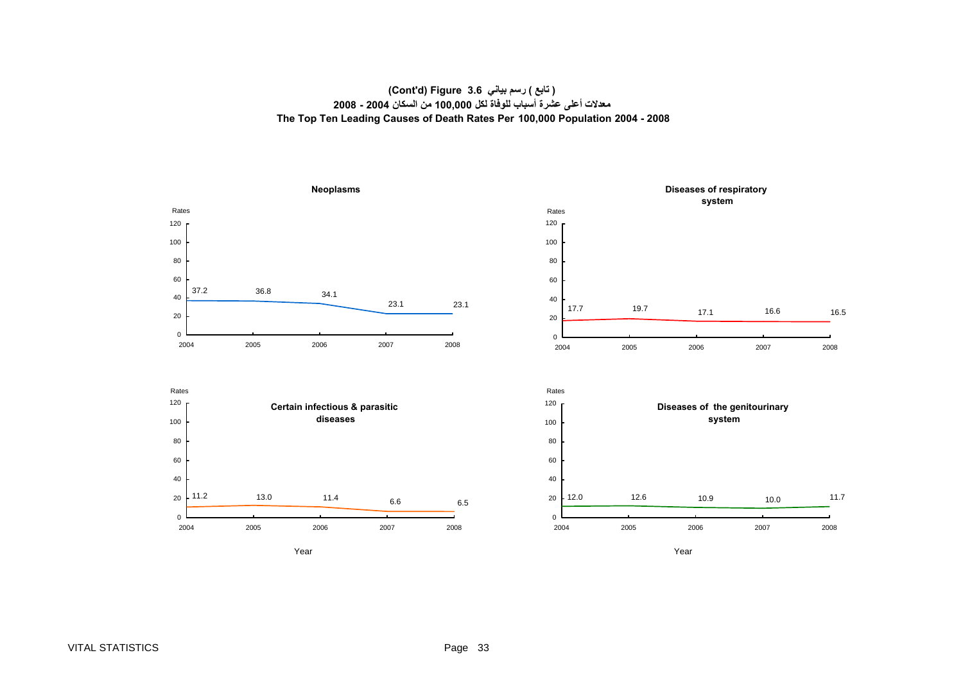#### **( تابع ) رسم بياني 3.6 Figure) d'Cont( معدلات أعلى عشرة أسباب للوفاة لكل 100,000 من السكان <sup>2004</sup> - <sup>2008</sup> The Top Ten Leading Causes of Death Rates Per 100,000 Population 2004 - 2008**

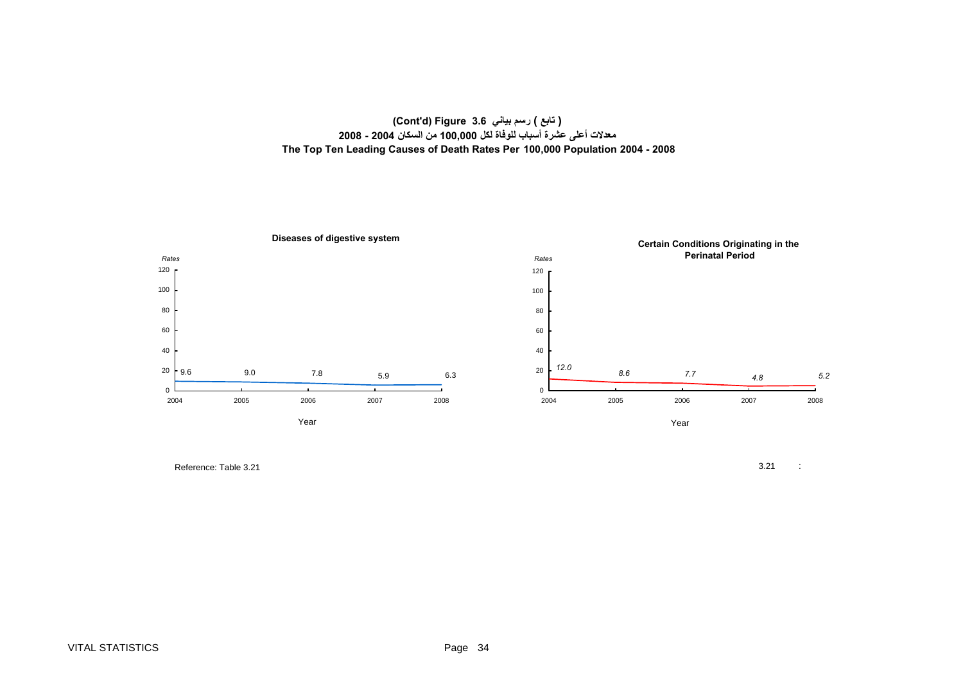#### **( تابع ) رسم بياني 3.6 Figure) d'Cont( معدلات أعلى عشرة أسباب للوفاة لكل 100,000 من السكان <sup>2004</sup> - <sup>2008</sup> The Top Ten Leading Causes of Death Rates Per 100,000 Population 2004 - 2008**



Reference: Table 3.21

 $1$  3.21 :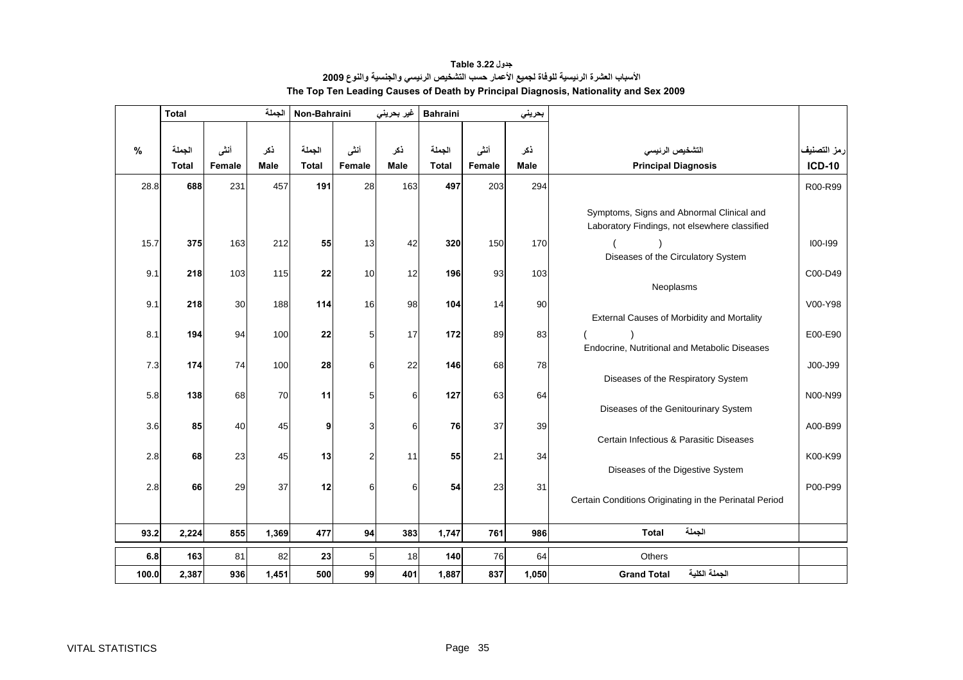<span id="page-35-0"></span>

|       | <b>Total</b> |        | الجملة | Non-Bahraini |                | غير بحريني | <b>Bahraini</b> |        | بحريني |                                                                                            |               |
|-------|--------------|--------|--------|--------------|----------------|------------|-----------------|--------|--------|--------------------------------------------------------------------------------------------|---------------|
|       |              |        |        |              |                |            |                 |        |        |                                                                                            |               |
| $\%$  | الجملة       | أنشى   | ذكر    | الجملة       | أننى           | ذکر        | الجملة          | أنشى   | ذكر    | التشخيص الرئيسى                                                                            | رمز التصنيف   |
|       | <b>Total</b> | Female | Male   | <b>Total</b> | Female         | Male       | <b>Total</b>    | Female | Male   | <b>Principal Diagnosis</b>                                                                 | <b>ICD-10</b> |
| 28.8  | 688          | 231    | 457    | 191          | 28             | 163        | 497             | 203    | 294    |                                                                                            | R00-R99       |
|       |              |        |        |              |                |            |                 |        |        | Symptoms, Signs and Abnormal Clinical and<br>Laboratory Findings, not elsewhere classified |               |
| 15.7  | 375          | 163    | 212    | 55           | 13             | 42         | 320             | 150    | 170    |                                                                                            | $100 - 199$   |
| 9.1   | 218          | 103    | 115    | 22           | 10             | 12         | 196             | 93     | 103    | Diseases of the Circulatory System                                                         | C00-D49       |
|       |              |        |        |              |                |            |                 |        |        | Neoplasms                                                                                  |               |
| 9.1   | 218          | 30     | 188    | 114          | 16             | 98         | 104             | 14     | 90     |                                                                                            | V00-Y98       |
|       |              |        |        |              |                |            |                 |        |        | External Causes of Morbidity and Mortality                                                 |               |
| 8.1   | 194          | 94     | 100    | 22           | 5              | 17         | 172             | 89     | 83     |                                                                                            | E00-E90       |
|       |              |        |        |              |                |            |                 |        |        | Endocrine, Nutritional and Metabolic Diseases                                              |               |
| 7.3   | 174          | 74     | 100    | 28           | 6              | 22         | 146             | 68     | 78     | Diseases of the Respiratory System                                                         | J00-J99       |
| 5.8   | 138          | 68     | 70     | 11           | 5              | 6          | 127             | 63     | 64     |                                                                                            | N00-N99       |
|       |              |        |        |              |                |            |                 |        |        | Diseases of the Genitourinary System                                                       |               |
| 3.6   | 85           | 40     | 45     | 9            | 3              | 6          | 76              | 37     | 39     |                                                                                            | A00-B99       |
|       |              |        |        |              |                |            |                 |        |        | Certain Infectious & Parasitic Diseases                                                    |               |
| 2.8   | 68           | 23     | 45     | 13           | $\overline{c}$ | 11         | 55              | 21     | 34     |                                                                                            | K00-K99       |
|       |              |        |        |              |                |            |                 |        |        | Diseases of the Digestive System                                                           |               |
| 2.8   | 66           | 29     | 37     | 12           | 6              | 6          | 54              | 23     | 31     | Certain Conditions Originating in the Perinatal Period                                     | P00-P99       |
|       |              |        |        |              |                |            |                 |        |        |                                                                                            |               |
| 93.2  | 2,224        | 855    | 1,369  | 477          | 94             | 383        | 1,747           | 761    | 986    | الجملة<br><b>Total</b>                                                                     |               |
| 6.8   | 163          | 81     | 82     | 23           | 5              | 18         | 140             | 76     | 64     | <b>Others</b>                                                                              |               |
| 100.0 | 2,387        | 936    | 1,451  | 500          | 99             | 401        | 1,887           | 837    | 1,050  | الجملة الكلية<br><b>Grand Total</b>                                                        |               |

**الأسباب العشرة الرئيسية للوفاة لجميع الأعمار حسب التشخيص الرئيسي والجنسية والنوع <sup>2009</sup> جدول 3.22 Table The Top Ten Leading Causes of Death by Principal Diagnosis, Nationality and Sex 2009**